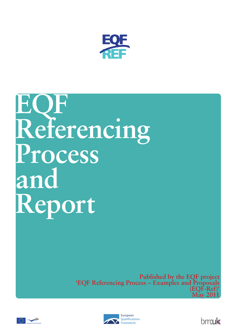

# **EQF Referencing Process and Report**

**Published by the EQF project 'EQF Referencing Process – Examples and Proposals (EQF-Ref)' May 2011**





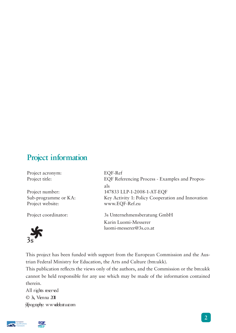### **Project information**

Project acronym: EQF-Ref

Project website: www.EQF-Ref.eu



Project title: EQF Referencing Process - Examples and Proposals Project number: 147833 LLP-1-2008-1-AT-EQF Sub-programme or KA: Key Activity 1: Policy Cooperation and Innovation

Project coordinator: 3s Unternehmensberatung GmbH Karin Luomi-Messerer luomi-messerer@3s.co.at

This project has been funded with support from the European Commission and the Austrian Federal Ministry for Education, the Arts and Culture (bm:ukk).

This publication reflects the views only of the authors, and the Commission or the bm:ukk cannot be held responsible for any use which may be made of the information contained therein.

All rights reserved © 3s, Vienna 201 ypography: www.deleatur.com



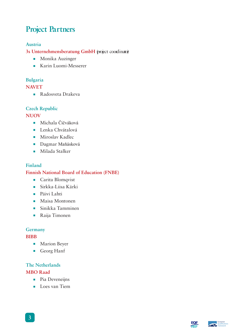### **Project Partners**

#### **Austria**

#### 3s Unternehmensberatung GmbH project coordinator

- **Monika Auzinger**
- Karin Luomi-Messerer

#### **Bulgaria**

#### **NAVET**

■ Radosveta Drakeva

#### **Czech Republic**

#### **NUOV**

- **Michala Čičváková**
- **Lenka Chvátalová**
- **Miroslav Kadlec**
- **Dagmar Maňásková**
- Milada Stalker

#### **Finland**

#### **Finnish National Board of Education (FNBE)**

- **Carita Blomqvist**
- Sirkka-Liisa Kärki
- **Päivi Lahti**
- Maisa Montonen
- Sinikka Tamminen
- Raija Timonen

#### **Germany**

#### **BIBB**

- **Marion Beyer**
- Georg Hanf

#### **The Netherlands MBO Raad**

- Pia Deveneijns
- **Loes van Tiem**

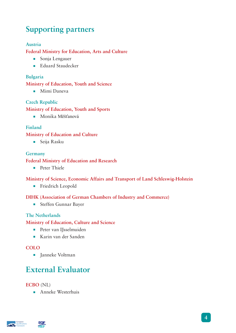### **Supporting partners**

#### **Austria**

#### **Federal Ministry for Education, Arts and Culture**

- Sonia Lengauer
- **Eduard Staudecker**

#### **Bulgaria**

#### **Ministry of Education, Youth and Science**

**Mimi Daneva** 

#### **Czech Republic**

#### **Ministry of Education, Youth and Sports**

**Monika Měšťanová** 

#### **Finland**

#### **Ministry of Education and Culture**

■ Seija Rasku

#### **Germany**

#### **Federal Ministry of Education and Research**

**Peter Thiele** 

#### **Ministry of Science, Economic Affairs and Transport of Land Schleswig-Holstein**

Friedrich Leopold

#### **DIHK (Association of German Chambers of Industry and Commerce)**

Steffen Gunnar Bayer

#### **The Netherlands**

#### **Ministry of Education, Culture and Science**

- **Peter van IJsselmuiden**
- Karin van der Sanden

#### **COLO**

**I** Janneke Voltman

### **External Evaluator**

#### **ECBO** (NL)

**Anneke Westerhuis** 



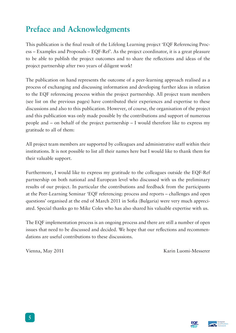### **Preface and Acknowledgments**

This publication is the final result of the Lifelong Learning project 'EQF Referencing Process – Examples and Proposals – EQF-Ref'. As the project coordinator, it is a great pleasure to be able to publish the project outcomes and to share the reflections and ideas of the project partnership after two years of diligent work!

The publication on hand represents the outcome of a peer-learning approach realised as a process of exchanging and discussing information and developing further ideas in relation to the EQF referencing process within the project partnership. All project team members (see list on the previous pages) have contributed their experiences and expertise to these discussions and also to this publication. However, of course, the organisation of the project and this publication was only made possible by the contributions and support of numerous people and – on behalf of the project partnership – I would therefore like to express my gratitude to all of them:

All project team members are supported by colleagues and administrative staff within their institutions. It is not possible to list all their names here but I would like to thank them for their valuable support.

Furthermore, I would like to express my gratitude to the colleagues outside the EQF-Ref partnership on both national and European level who discussed with us the preliminary results of our project. In particular the contributions and feedback from the participants at the Peer-Learning Seminar 'EQF referencing: process and reports – challenges and open questions' organised at the end of March 2011 in Sofia (Bulgaria) were very much appreciated. Special thanks go to Mike Coles who has also shared his valuable expertise with us.

The EQF implementation process is an ongoing process and there are still a number of open issues that need to be discussed and decided. We hope that our reflections and recommendations are useful contributions to these discussions.

Vienna, May 2011 Karin Luomi-Messerer

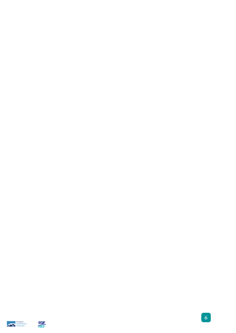

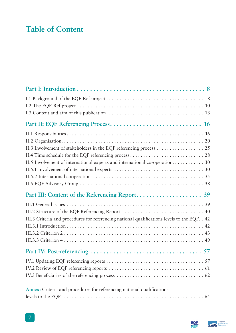### **Table of Content**

| II.5 Involvement of international experts and international co-operation. 30                  |
|-----------------------------------------------------------------------------------------------|
|                                                                                               |
| III.3 Criteria and procedures for referencing national qualifications levels to the EQF. . 42 |
|                                                                                               |
|                                                                                               |
| Annex: Criteria and procedures for referencing national qualifications                        |

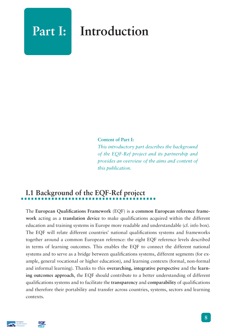# **Part I: Introduction**

**Content of Part I:**

*This introductory part describes the background of the EQF-Ref project and its partnership and provides an overview of the aims and content of this publication.*

### **I.1 Background of the EQF-Ref project**

The European Qualifications Framework (EQF) is a common European reference frame**work** acting as a **translation** device to make qualifications acquired within the different education and training systems in Europe more readable and understandable (cf. info box). The EQF will relate different countries' national qualifications systems and frameworks together around a common European reference: the eight EQF reference levels described in terms of learning outcomes. This enables the EQF to connect the different national systems and to serve as a bridge between qualifications systems, different segments (for example, general vocational or higher education), and learning contexts (formal, non-formal and informal learning). Thanks to this **overarching, integrative perspective** and the **learning outcomes approach**, the EQF should contribute to a better understanding of different qualifications systems and to facilitate the **transparency** and **comparability** of qualifications and therefore their portability and transfer across countries, systems, sectors and learning contexts.



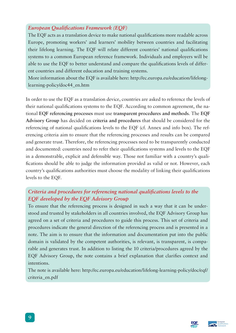#### **European Qualifications Framework (EQF)**

The EQF acts as a translation device to make national qualifications more readable across Europe, promoting workers' and learners' mobility between countries and facilitating their lifelong learning. The EQF will relate different countries' national qualifications systems to a common European reference framework. Individuals and employers will be able to use the EQF to better understand and compare the qualifications levels of different countries and different education and training systems.

More information about the EQF is available here: http://ec.europa.eu/education/lifelonglearning-policy/doc44\_en.htm

In order to use the EQF as a translation device, countries are asked to reference the levels of their national qualifications systems to the EQF. According to common agreement, the national **EQF referencing processes** must use **transparent procedures and methods**. The **EQF Advisory Group** has decided on **criteria and procedures** that should be considered for the referencing of national qualifications levels to the EQF (cf. Annex and info box). The referencing criteria aim to ensure that the referencing processes and results can be compared and generate trust. Therefore, the referencing processes need to be transparently conducted and documented: countries need to refer their qualifications systems and levels to the EQF in a demonstrable, explicit and defensible way. Those not familiar with a country's qualifications should be able to judge the information provided as valid or not. However, each country's qualifications authorities must choose the modality of linking their qualifications levels to the EQF.

#### *Criteria and procedures for referencing national qualifications levels to the EQF developed by the EQF Advisory Group*

To ensure that the referencing process is designed in such a way that it can be understood and trusted by stakeholders in all countries involved, the EQF Advisory Group has agreed on a set of criteria and procedures to guide this process. This set of criteria and procedures indicate the general direction of the referencing process and is presented in a note. The aim is to ensure that the information and documentation put into the public domain is validated by the competent authorities, is relevant, is transparent, is comparable and generates trust. In addition to listing the 10 criteria/procedures agreed by the EQF Advisory Group, the note contains a brief explanation that clarifies context and intentions.

The note is available here: http://ec.europa.eu/education/lifelong-learning-policy/doc/eqf/ criteria\_en.pdf



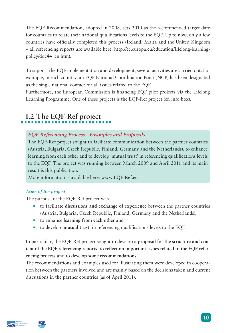The EQF Recommendation, adopted in 2008, sets 2010 as the recommended target date for countries to relate their national qualifications levels to the EQF. Up to now, only a few countries have officially completed this process (Ireland, Malta and the United Kingdom – all referencing reports are available here: http://ec.europa.eu/education/lifelong-learningpolicy/doc44\_en.htm).

To support the EQF implementation and development, several activities are carried out. For example, in each country, an EQF National Coordination Point (NCP) has been designated as the single national contact for all issues related to the EQF.

Furthermore, the European Commission is financing EQF pilot projects via the Lifelong Learning Programme. One of these projects is the EQF-Ref project (cf. info box).

### **I.2 The EQF-Ref project**

#### *EQF Referencing Process - Examples and Proposals*

The EQF-Ref project sought to facilitate communication between the partner countries (Austria, Bulgaria, Czech Republic, Finland, Germany and the Netherlands), to enhance learning from each other and to develop 'mutual trust' in referencing qualifications levels to the EQF. The project was running between March 2009 and April 2011 and its main result is this publication.

More information is available here: www.EQF-Ref.eu

#### *Aims of the project*

The purpose of the EQF-Ref project was

- to facilitate **discussions and exchange of experience** between the partner countries (Austria, Bulgaria, Czech Republic, Finland, Germany and the Netherlands),
- to enhance **learning from each other** and
- to develop 'mutual trust' in referencing qualifications levels to the EQF.

In particular, the EQF-Ref project sought to develop a **proposal for the structure and con**tent of the EQF referencing reports, to reflect on important issues related to the EQF refer**encing process** and to **develop some recommendations.**

The recommendations and examples used for illustrating them were developed in cooperation between the partners involved and are mainly based on the decisions taken and current discussions in the partner countries (as of April 2011).

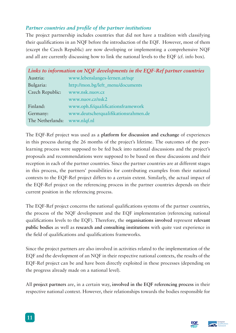#### Partner countries and profile of the partner institutions

The project partnership includes countries that did not have a tradition with classifying their qualifications in an NQF before the introduction of the EQF. However, most of them (except the Czech Republic) are now developing or implementing a comprehensive NQF and all are currently discussing how to link the national levels to the EQF (cf. info box).

| Links to information on NQF developments in the EQF-Ref partner countries |                                      |  |  |
|---------------------------------------------------------------------------|--------------------------------------|--|--|
| Austria:                                                                  | www.lebenslanges-lernen.at/nqr       |  |  |
| Bulgaria:                                                                 | http://mon.bg/left_menu/documents    |  |  |
| Czech Republic:                                                           | www.nsk.nuov.cz                      |  |  |
|                                                                           | www.nuov.cz/nsk2                     |  |  |
| Finland:                                                                  | www.oph.fi/qualificationsframework   |  |  |
| Germany:                                                                  | www.deutscherqualifikationsrahmen.de |  |  |
| The Netherlands:                                                          | www.nlqf.nl                          |  |  |
|                                                                           |                                      |  |  |

The EQF-Ref project was used as a **platform for discussion and exchange** of experiences in this process during the 26 months of the project's lifetime. The outcomes of the peerlearning process were supposed to be fed back into national discussions and the project's proposals and recommendations were supposed to be based on these discussions and their reception in each of the partner countries. Since the partner countries are at different stages in this process, the partners' possibilities for contributing examples from their national contexts to the EQF-Ref project differs to a certain extent. Similarly, the actual impact of the EQF-Ref project on the referencing process in the partner countries depends on their current position in the referencing process.

The EQF-Ref project concerns the national qualifications systems of the partner countries, the process of the NQF development and the EQF implementation (referencing national qualifications levels to the EQF). Therefore, the organisations involved represent relevant **public bodies** as well as **research and consulting institutions** with quite vast experience in the field of qualifications and qualifications frameworks.

Since the project partners are also involved in activities related to the implementation of the EQF and the development of an NQF in their respective national contexts, the results of the EQF-Ref project can be and have been directly exploited in these processes (depending on the progress already made on a national level).

All **project partners** are, in a certain way, **involved in the EQF referencing process** in their respective national context. However, their relationships towards the bodies responsible for

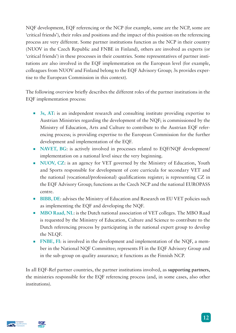NQF development, EQF referencing or the NCP (for example, some are the NCP, some are 'critical friends'), their roles and positions and the impact of this position on the referencing process are very different. Some partner institutions function as the NCP in their country (NUOV in the Czech Republic and FNBE in Finland), others are involved as experts (or 'critical friends') in these processes in their countries. Some representatives of partner institutions are also involved in the EQF implementation on the European level (for example, colleagues from NUOV and Finland belong to the EQF Advisory Group; 3s provides expertise to the European Commission in this context).

The following overview briefly describes the different roles of the partner institutions in the EQF implementation process:

- **3s, AT:** is an independent research and consulting institute providing expertise to Austrian Ministries regarding the development of the NQF; is commissioned by the Ministry of Education, Arts and Culture to contribute to the Austrian EQF referencing process; is providing expertise to the European Commission for the further development and implementation of the EQF.
- **NAVET, BG:** is actively involved in processes related to EQF/NQF development/ implementation on a national level since the very beginning.
- **NUOV, CZ:** is an agency for VET governed by the Ministry of Education, Youth and Sports responsible for development of core curricula for secondary VET and the national (vocational/professional) qualifications register; is representing CZ in the EQF Advisory Group; functions as the Czech NCP and the national EUROPASS centre.
- **BIBB, DE:** advises the Ministry of Education and Research on EU VET policies such as implementing the EQF and developing the NQF.
- **MBO Raad, NL:** is the Dutch national association of VET colleges. The MBO Raad is requested by the Ministry of Education, Culture and Science to contribute to the Dutch referencing process by participating in the national expert group to develop the NLQF.
- **FNBE, FI:** is involved in the development and implementation of the NQF, a member in the National NQF Committee; represents FI in the EQF Advisory Group and in the sub-group on quality assurance; it functions as the Finnish NCP.

In all EQF-Ref partner countries, the partner institutions involved, as **supporting partners,** the ministries responsible for the EQF referencing process (and, in some cases, also other institutions).

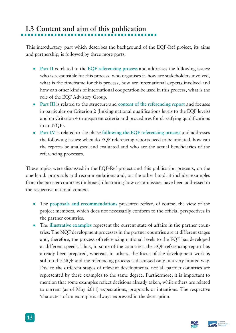### **I.3 Content and aim of this publication**

This introductory part which describes the background of the EQF-Ref project, its aims and partnership, is followed by three more parts:

- **Part II** is related to the EQF referencing process and addresses the following issues: who is responsible for this process, who organises it, how are stakeholders involved, what is the timeframe for this process, how are international experts involved and how can other kinds of international cooperation be used in this process, what is the role of the EQF Advisory Group.
- **Part III** is related to the structure and content of the referencing report and focuses in particular on Criterion 2 (linking national qualifications levels to the EQF levels) and on Criterion 4 (transparent criteria and procedures for classifying qualifications in an NQF).
- **Part IV** is related to the phase following the EQF referencing process and addresses the following issues: when do EQF referencing reports need to be updated, how can the reports be analysed and evaluated and who are the actual beneficiaries of the referencing processes.

These topics were discussed in the EQF-Ref project and this publication presents, on the one hand, proposals and recommendations and, on the other hand, it includes examples from the partner countries (in boxes) illustrating how certain issues have been addressed in the respective national context.

- **The proposals and recommendations** presented reflect, of course, the view of the project members, which does not necessarily conform to the official perspectives in the partner countries.
- The **illustrative examples** represent the current state of affairs in the partner countries. The NQF development processes in the partner countries are at different stages and, therefore, the process of referencing national levels to the EQF has developed at different speeds. Thus, in some of the countries, the EQF referencing report has already been prepared, whereas, in others, the focus of the development work is still on the NQF and the referencing process is discussed only in a very limited way. Due to the different stages of relevant developments, not all partner countries are represented by these examples to the same degree. Furthermore, it is important to mention that some examples reflect decisions already taken, while others are related to current (as of May 2011) expectations, proposals or intentions. The respective 'character' of an example is always expressed in the description.

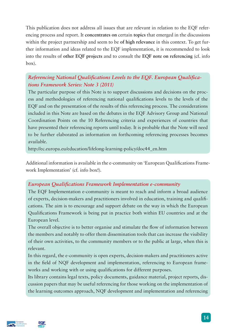This publication does not address all issues that are relevant in relation to the EQF referencing process and report. It **concentrates on** certain **topics** that emerged in the discussions within the project partnership and seem to be **of high relevance** in this context. To get further information and ideas related to the EQF implementation, it is recommended to look into the results of **other EQF projects** and to consult the **EQF note on referencing** (cf. info box).

#### Referencing National Qualifications Levels to the EQF. European Qualifica*tions Framework Series: Note 3 (2011)*

The particular purpose of this Note is to support discussions and decisions on the process and methodologies of referencing national qualifications levels to the levels of the EQF and on the presentation of the results of this referencing process. The considerations included in this Note are based on the debates in the EQF Advisory Group and National Coordination Points on the 10 Referencing criteria and experiences of countries that have presented their referencing reports until today. It is probable that the Note will need to be further elaborated as information on forthcoming referencing processes becomes available.

http://ec.europa.eu/education/lifelong-learning-policy/doc44\_en.htm

Additional information is available in the e-community on 'European Qualifications Framework Implementation' (cf. info box!).

#### *European Qualifications Framework Implementation e-community*

The EQF Implementation e-community is meant to reach and inform a broad audience of experts, decision-makers and practitioners involved in education, training and qualifi cations. The aim is to encourage and support debate on the way in which the European Qualifications Framework is being put in practice both within EU countries and at the European level.

The overall objective is to better organise and stimulate the flow of information between the members and notably to offer them dissemination tools that can increase the visibility of their own activities, to the community members or to the public at large, when this is relevant.

In this regard, the e-community is open experts, decision-makers and practitioners active in the field of NQF development and implementation, referencing to European frameworks and working with or using qualifications for different purposes.

Its library contains legal texts, policy documents, guidance material, project reports, discussion papers that may be useful referencing for those working on the implementation of the learning outcomes approach, NQF development and implementation and referencing



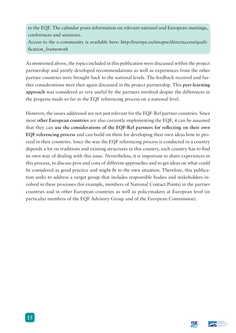to the EQF. The calendar posts information on relevant national and European meetings, conferences and seminars.

Access to the e-community is available here: http://europa.eu/sinapse/directaccess/qualification\_framework

As mentioned above, the topics included in this publication were discussed within the project partnership and jointly developed recommendations as well as experiences from the other partner countries were brought back to the national levels. The feedback received and further considerations were then again discussed in the project partnership. This **peer-learning approach** was considered as very useful by the partners involved despite the differences in the progress made so far in the EQF referencing process on a national level.

However, the issues addressed are not just relevant for the EQF-Ref partner countries. Since most **other European countries** are also currently implementing the EQF, it can be assumed that they can use the considerations of the EQF-Ref partners for reflecting on their own **EQF referencing process** and can build on them for developing their own ideas how to proceed in their countries. Since the way the EQF referencing process is conducted in a country depends a lot on traditions and existing structures in this country, each country has to find its own way of dealing with this issue. Nevertheless, it is important to share experiences in this process, to discuss pros and cons of different approaches and to get ideas on what could be considered as good practice and might fit to the own situation. Therefore, this publication seeks to address a target group that includes responsible bodies and stakeholders involved in these processes (for example, members of National Contact Points) in the partner countries and in other European countries as well as policymakers at European level (in particular members of the EQF Advisory Group and of the European Commission).



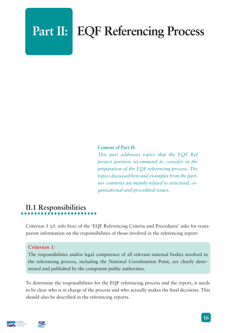# **Part II: EQF Referencing Process**

#### **Content of Part II:**

*This part addresses topics that the EQF Ref project partners recommend to consider in the preparation of the EQF referencing process. The topics discussed here and examples from the partner countries are mainly related to structural, organisational and procedural issues.*

### **II.1 Responsibilities**

Criterion 1 (cf. info box) of the 'EQF Referencing Criteria and Procedures' asks for transparent information on the responsibilities of those involved in the referencing report:

#### *Criterion 1:*

The responsibilities and/or legal competence of all relevant national bodies involved in the referencing process, including the National Coordination Point, are clearly determined and published by the competent public authorities.

To determine the responsibilities for the EQF referencing process and the report, it needs to be clear who is in charge of the process and who actually makes the final decisions. This should also be described in the referencing reports.

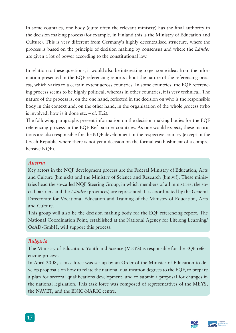In some countries, one body (quite often the relevant ministry) has the final authority in the decision making process (for example, in Finland this is the Ministry of Education and Culture). This is very different from Germany's highly decentralised structure, where the process is based on the principle of decision making by consensus and where the *Länder* are given a lot of power according to the constitutional law.

In relation to these questions, it would also be interesting to get some ideas from the information presented in the EQF referencing reports about the nature of the referencing process, which varies to a certain extent across countries. In some countries, the EQF referencing process seems to be highly political, whereas in other countries, it is very technical. The nature of the process is, on the one hand, reflected in the decision on who is the responsible body in this context and, on the other hand, in the organisation of the whole process (who is involved, how is it done etc.  $-$  cf. II.2).

The following paragraphs present information on the decision making bodies for the EQF referencing process in the EQF-Ref partner countries. As one would expect, these institutions are also responsible for the NQF development in the respective country (except in the Czech Republic where there is not yet a decision on the formal establishment of a comprehensive NQF).

#### *Austria*

Key actors in the NQF development process are the Federal Ministry of Education, Arts and Culture (bm:ukk) and the Ministry of Science and Research (bm:wf). These ministries head the so-called NQF Steering Group, in which members of all ministries, the social partners and the *Länder* (provinces) are represented. It is coordinated by the General Directorate for Vocational Education and Training of the Ministry of Education, Arts and Culture.

This group will also be the decision making body for the EQF referencing report. The National Coordination Point, established at the National Agency for Lifelong Learning/ OeAD-GmbH, will support this process.

#### *Bulgaria*

The Ministry of Education, Youth and Science (MEYS) is responsible for the EQF referencing process.

In April 2008, a task force was set up by an Order of the Minister of Education to develop proposals on how to relate the national qualification degrees to the EQF, to prepare a plan for sectoral qualifications development, and to submit a proposal for changes in the national legislation. This task force was composed of representatives of the MEYS, the NAVET, and the ENIC-NARIC centre.

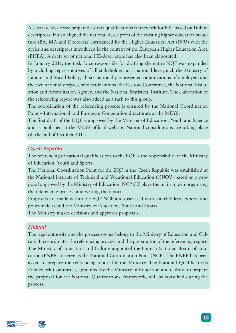A separate task force prepared a draft qualifications framework for HE, based on Dublin descriptors. It also aligned the national descriptors of the existing higher education structure (BA, MA and Doctorate) introduced by the Higher Education Act (1995) with the cycles and descriptors introduced in the context of the European Higher Education Area (EHEA). A draft set of national HE-descriptors has also been elaborated.

In January 2011, the task force responsible for drafting the entire NQF was expanded by including representatives of all stakeholders at a national level, incl. the Ministry of Labour and Social Policy, all six nationally represented organizations of employers and the two nationally represented trade unions, the Rectors Conference, the National Evaluation and Accreditation Agency, and the National Statistical Institute. The elaboration of the referencing report was also added as a task to this group.

The coordination of the referencing process is ensured by the National Coordination Point – International and European Cooperation directorate at the MEYS.

The first draft of the NQF is approved by the Minister of Education, Youth and Science and is published at the MEYS official website. National consultations are taking place till the end of October 2011.

#### *Czech Republic*

The referencing of national qualifications to the EQF is the responsibility of the Ministry of Education, Youth and Sports.

The National Coordination Point for the EQF in the Czech Republic was established at the National Institute of Technical and Vocational Education (NUOV) based on a proposal approved by the Ministry of Education. NCP CZ plays the main role in organising the referencing process and writing the report.

Proposals are made within the EQF NCP and discussed with stakeholders, experts and policymakers and the Ministry of Education, Youth and Sports.

The Ministry makes decisions and approves proposals.

#### *Finland*

The legal authority and the process owner belong to the Ministry of Education and Culture. It co-ordinates the referencing process and the preparation of the referencing report. The Ministry of Education and Culture appointed the Finnish National Board of Education (FNBE) to serve as the National Coordination Point (NCP). The FNBE has been asked to prepare the referencing report for the Ministry. The National Qualifications Framework Committee, appointed by the Ministry of Education and Culture to prepare the proposal for the National Qualifications Framework, will be consulted during the process.



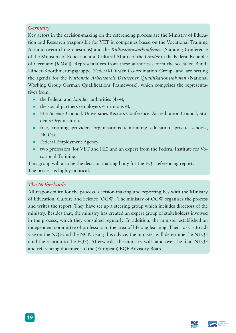#### *Germany*

Key actors in the decision-making on the referencing process are the Ministry of Education and Research (responsible for VET in companies based on the Vocational Training Act and overarching questions) and the *Kultusministerkonferenz* (Standing Conference of the Ministers of Education and Cultural Affairs of the *Länder* in the Federal Republic of Germany [*KMK*]). Representatives from these authorities form the so-called Bund-Länder-Koordinierungsgruppe (Federal/*Länder* Co-ordination Group) and are setting the agenda for the *Nationale Arbeitskreis Deutscher Qualifikationsrahmen* (National Working Group German Qualifications Framework), which comprises the representatives from:

- the Federal and *Länder* authorities (4+4),
- the social partners (employers 4 + unions 4),
- HE: Science Council, Universities Rectors Conference, Accreditation Council, Students Organisation,
- free, training providers organisations (continuing education, private schools, NGOs),
- **Federal Employment Agency,**
- two professors (for VET and HE) and an expert from the Federal Institute for Vocational Training.

This group will also be the decision making body for the EQF referencing report. The process is highly political.

#### *The Netherlands*

All responsibility for the process, decision-making and reporting lies with the Ministry of Education, Culture and Science (OCW). The ministry of OCW organises the process and writes the report. They have set up a steering group which includes directors of the ministry. Besides that, the ministry has created an expert group of stakeholders involved in the process, which they consulted regularly. In addition, the minister established an independent committee of professors in the area of lifelong learning. Their task is to advise on the NQF and the NCP. Using this advice, the minister will determine the NLQF (and the relation to the EQF). Afterwards, the ministry will hand over the final NLQF and referencing document to the (European) EQF Advisory Board.



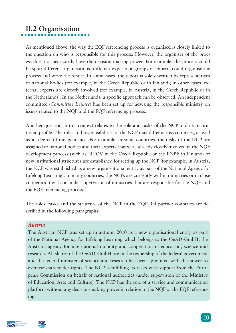### **II.2 Organisation**

As mentioned above, the way the EQF referencing process is organised is closely linked to the question on who is **responsible** for this process. However, the organiser of the process does not necessarily have the decision making power. For example, the process could be split; different organisations, different experts or groups of experts could organise the process and write the report. In some cases, the report is solely written by representatives of national bodies (for example, in the Czech Republic or in Finland); in other cases, external experts are directly involved (for example, in Austria, in the Czech Republic or in the Netherlands). In the Netherlands, a specific approach can be observed: An independent committee (*Committee Leijnse*) has been set up for advising the responsible ministry on issues related to the NQF and the EQF referencing process.

Another question in this context relates to the **role and tasks of the NCP** and its institutional profile. The roles and responsibilities of the NCP may differ across countries, as well as its degree of independence. For example, in some countries, the tasks of the NCP are assigned to national bodies and their experts that were already closely involved in the NQF development process (such as NUOV in the Czech Republic or the FNBE in Finland) or new institutional structures are established for setting up the NCP (for example, in Austria, the NCP was established as a new organisational entity as part of the National Agency for Lifelong Learning). In many countries, the NCPs are currently within ministries or in close cooperation with or under supervision of ministries that are responsible for the NQF and the EQF referencing process.

The roles, tasks and the structure of the NCP in the EQF-Ref partner countries are described in the following paragraphs:

#### *Austria*

The Austrian NCP was set up in autumn 2010 as a new organisational entity as part of the National Agency for Lifelong Learning which belongs to the OeAD-GmbH, the Austrian agency for international mobility and cooperation in education, science and research. All shares of the OeAD-GmbH are in the ownership of the federal government and the federal minister of science and research has been appointed with the power to exercise shareholder rights. The NCP is fulfilling its tasks with support from the European Commission on behalf of national authorities (under supervision of the Ministry of Education, Arts and Culture). The NCP has the role of a service and communication platform without any decision-making power in relation to the NQF or the EQF referencing.



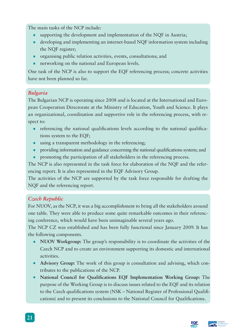The main tasks of the NCP include:

- supporting the development and implementation of the NQF in Austria;
- developing and implementing an internet-based NQF information system including the NQF register;
- organising public relation activities, events, consultations; and
- networking on the national and European levels.

One task of the NCP is also to support the EQF referencing process; concrete activities have not been planned so far.

#### *Bulgaria*

The Bulgarian NCP is operating since 2008 and is located at the International and European Cooperation Directorate at the Ministry of Education, Youth and Science. It plays an organizational, coordination and supportive role in the referencing process, with respect to:

- $\blacksquare$  referencing the national qualifications levels according to the national qualifications system to the EQF;
- using a transparent methodology in the referencing;
- $\blacksquare$  providing information and guidance concerning the national qualifications system; and
- **promoting the participation of all stakeholders in the referencing process.**

The NCP is also represented in the task force for elaboration of the NQF and the referencing report. It is also represented in the EQF Advisory Group.

The activities of the NCP are supported by the task force responsible for drafting the NQF and the referencing report.

#### *Czech Republic*

For NUOV, as the NCP, it was a big accomplishment to bring all the stakeholders around one table. They were able to produce some quite remarkable outcomes in their referencing conference, which would have been unimaginable several years ago.

The NCP CZ was established and has been fully functional since January 2009. It has the following components.

- **NUOV Workgroup:** The group's responsibility is to coordinate the activities of the Czech NCP and to create an environment supporting its domestic and international activities.
- **Advisory Group:** The work of this group is consultation and advising, which contributes to the publications of the NCP.
- **National Council for Qualifications EQF Implementation Working Group:** The purpose of the Working Group is to discuss issues related to the EQF and its relation to the Czech qualifications system (NSK – National Register of Professional Qualifications) and to present its conclusions to the National Council for Qualifications.

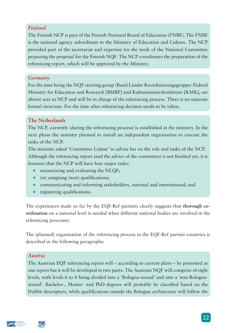#### *Finland*

The Finnish NCP is part of the Finnish National Board of Education (FNBE). The FNBE is the national agency subordinate to the Ministry of Education and Culture. The NCP provided part of the secretariat and expertise for the work of the National Committee preparing the proposal for the Finnish NQF. The NCP coordinates the preparation of the referencing report, which will be approved by the Ministry.

#### *Germany*

For the time being the NQF steering group (Bund Länder Koordinierungsgruppe: Federal Ministry for Education and Research [BMBF] and Kultusministerkonferenz [KMK], see above) acts as NCP and will be in charge of the referencing process. There is no separate formal structure. For the time after referencing decision needs to be taken.

#### **The Netherlands**

The NCP, currently (during the referencing process) is established at the ministry. In the next phase the minister planned to install an independent organisation to execute the tasks of the NCP.

The minister asked 'Committee Leijnse' to advise her on the role and tasks of the NCP. Although the referencing report (and the advice of the committee) is not finished yet, it is foreseen that the NCP will have four major tasks:

- **n** maintaining and evaluating the NLQF;
- $\bullet$  (re) assigning (new) qualifications;
- communicating and informing stakeholders, national and international; and
- registering qualifications.

The experiences made so far by the EQF-Ref partners clearly suggests that **thorough coordination** on a national level is needed when different national bodies are involved in the referencing processes.

The (planned) organisation of the referencing process in the EQF-Ref partner countries is described in the following paragraphs:

#### *Austria*

The Austrian EQF referencing report will – according to current plans – be presented as one report but it will be developed in two parts. The Austrian NQF will comprise of eight levels, with levels 6 to 8 being divided into a 'Bologna-strand' and into a 'non-Bolognastrand'. Bachelor-, Master- and PhD-degrees will probably be classified based on the Dublin descriptors, while qualifications outside the Bologna architecture will follow the



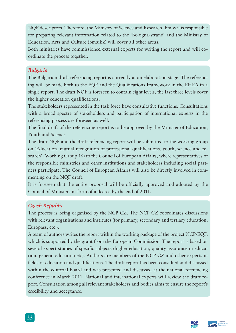NQF descriptors. Therefore, the Ministry of Science and Research (bm:wf) is responsible for preparing relevant information related to the 'Bologna-strand' and the Ministry of Education, Arts and Culture (bm:ukk) will cover all other areas.

Both ministries have commissioned external experts for writing the report and will coordinate the process together.

#### *Bulgaria*

The Bulgarian draft referencing report is currently at an elaboration stage. The referencing will be made both to the EQF and the Qualifications Framework in the EHEA in a single report. The draft NQF is foreseen to contain eight levels, the last three levels cover the higher education qualifications.

The stakeholders represented in the task force have consultative functions. Consultations with a broad spectre of stakeholders and participation of international experts in the referencing process are foreseen as well.

The final draft of the referencing report is to be approved by the Minister of Education, Youth and Science.

The draft NQF and the draft referencing report will be submitted to the working group on 'Education, mutual recognition of professional qualifications, youth, science and research' (Working Group 16) to the Council of European Affairs, where representatives of the responsible ministries and other institutions and stakeholders including social partners participate. The Council of European Affairs will also be directly involved in commenting on the NQF draft.

It is foreseen that the entire proposal will be officially approved and adopted by the Council of Ministers in form of a decree by the end of 2011.

#### *Czech Republic*

The process is being organised by the NCP CZ. The NCP CZ coordinates discussions with relevant organisations and institutes (for primary, secondary and tertiary education, Europass, etc.).

A team of authors writes the report within the working package of the project NCP-EQF, which is supported by the grant from the European Commission. The report is based on several expert studies of specific subjects (higher education, quality assurance in education, general education etc). Authors are members of the NCP CZ and other experts in fields of education and qualifications. The draft report has been consulted and discussed within the editorial board and was presented and discussed at the national referencing conference in March 2011. National and international experts will review the draft report. Consultation among all relevant stakeholders and bodies aims to ensure the report's credibility and acceptance.

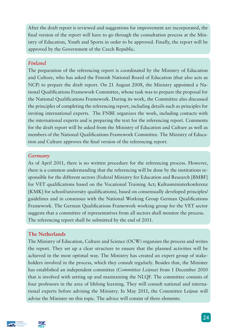After the draft report is reviewed and suggestions for improvement are incorporated, the final version of the report will have to go through the consultation process at the Ministry of Education, Youth and Sports in order to be approved. Finally, the report will be approved by the Government of the Czech Republic.

#### *Finland*

The preparation of the referencing report is coordinated by the Ministry of Education and Culture, who has asked the Finnish National Board of Education (that also acts as NCP) to prepare the draft report. On 21 August 2008, the Ministry appointed a National Qualifications Framework Committee, whose task was to prepare the proposal for the National Qualifications Framework. During its work, the Committee also discussed the principles of completing the referencing report, including details such as principles for inviting international experts. The FNBE organizes the work, including contacts with the international experts and is preparing the text for the referencing report. Comments for the draft report will be asked from the Ministry of Education and Culture as well as members of the National Qualifications Framework Committee. The Ministry of Education and Culture approves the final version of the referencing report.

#### *Germany*

As of April 2011, there is no written procedure for the referencing process. However, there is a common understanding that the referencing will be done by the institutions responsible for the different sectors (Federal Ministry for Education and Research [BMBF] for VET qualifications based on the Vocational Training Act; Kultusministerkonferenz [KMK] for school/university qualifications), based on consensually developed principles/ guidelines and in consensus with the National Working Group German Qualifications Framework. The German Qualifications Framework working group for the VET sector suggests that a committee of representatives from all sectors shall monitor the process. The referencing report shall be submitted by the end of 2011.

#### **The Netherlands**

The Ministry of Education, Culture and Science (OCW) organises the process and writes the report. They set up a clear structure to ensure that the planned activities will be achieved in the most optimal way. The Ministry has created an expert group of stakeholders involved in the process, which they consult regularly. Besides that, the Minister has established an independent committee (*Committee Leijnse*) from 1 December 2010 that is involved with setting up and maintaining the NLQF. The committee consists of four professors in the area of lifelong learning. They will consult national and international experts before advising the Ministry. In May 2011, the Committee Leijnse will advise the Minister on this topic. The advice will consist of three elements:



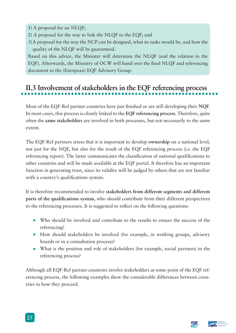- 1) A proposal for an NLQF;
- 2) A proposal for the way to link the NLQF to the EQF; and
- 3) A proposal for the way the NCP can be designed, what its tasks would be, and how the quality of the NLQF will be guaranteed.

Based on this advice, the Minister will determine the NLQF (and the relation to the EQF). Afterwards, the Ministry of OCW will hand over the final NLQF and referencing document to the (European) EQF Advisory Group.

### **II.3 Involvement of stakeholders in the EQF referencing process**

Most of the EQF-Ref partner countries have just finished or are still developing their NQF. In most cases, this process is closely linked to the **EQF referencing process**. Therefore, quite often the **same stakeholders** are involved in both processes, but not necessarily to the same extent.

The EQF-Ref partners stress that it is important to develop **ownership** on a national level, not just for the NQF, but also for the result of the EQF referencing process (i.e. the EQF referencing report). The latter communicates the classification of national qualifications to other countries and will be made available at the EQF portal. It therefore has an important function in generating trust, since its validity will be judged by others that are not familiar with a country's qualifications system.

It is therefore recommended to involve **stakeholders from different segments and different**  parts of the qualifications system, who should contribute from their different perspectives to the referencing processes. It is suggested to reflect on the following questions:

- Who should be involved and contribute to the results to ensure the success of the referencing?
- How should stakeholders be involved (for example, in working groups, advisory boards or in a consultation process)?
- What is the position and role of stakeholders (for example, social partners) in the referencing process?

Although all EQF-Ref partner countries involve stakeholders at some point of the EQF referencing process, the following examples show the considerable differences between countries in how they proceed.



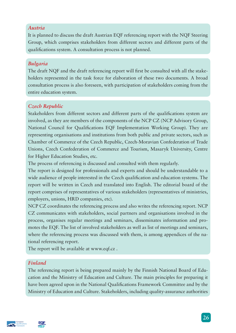#### *Austria*

It is planned to discuss the draft Austrian EQF referencing report with the NQF Steering Group, which comprises stakeholders from different sectors and different parts of the qualifications system. A consultation process is not planned.

#### *Bulgaria*

The draft NQF and the draft referencing report will first be consulted with all the stakeholders represented in the task force for elaboration of these two documents. A broad consultation process is also foreseen, with participation of stakeholders coming from the entire education system.

#### *Czech Republic*

Stakeholders from different sectors and different parts of the qualifications system are involved, as they are members of the components of the NCP CZ (NCP Advisory Group, National Council for Qualifications EQF Implementation Working Group). They are representing organisations and institutions from both public and private sectors, such as Chamber of Commerce of the Czech Republic, Czech-Moravian Confederation of Trade Unions, Czech Confederation of Commerce and Tourism, Masaryk University, Centre for Higher Education Studies, etc.

The process of referencing is discussed and consulted with them regularly.

The report is designed for professionals and experts and should be understandable to a wide audience of people interested in the Czech qualification and education systems. The report will be written in Czech and translated into English. The editorial board of the report comprises of representatives of various stakeholders (representatives of ministries, employers, unions, HRD companies, etc).

NCP CZ coordinates the referencing process and also writes the referencing report. NCP CZ communicates with stakeholders, social partners and organisations involved in the process, organises regular meetings and seminars, disseminates information and promotes the EQF. The list of involved stakeholders as well as list of meetings and seminars, where the referencing process was discussed with them, is among appendices of the national referencing report.

The report will be available at www.eqf.cz .

#### *Finland*

The referencing report is being prepared mainly by the Finnish National Board of Education and the Ministry of Education and Culture. The main principles for preparing it have been agreed upon in the National Qualifications Framework Committee and by the Ministry of Education and Culture. Stakeholders, including quality-assurance authorities



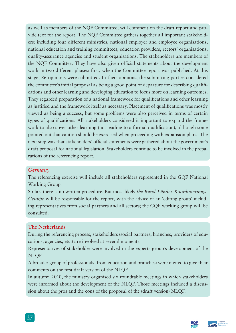as well as members of the NQF Committee, will comment on the draft report and provide text for the report. The NQF Committee gathers together all important stakeholders: including four different ministries, national employer and employee organisations, national education and training committees, education providers, rectors' organisations, quality-assurance agencies and student organisations. The stakeholders are members of the NQF Committee. They have also given official statements about the development work in two different phases: first, when the Committee report was published. At this stage, 86 opinions were submitted. In their opinions, the submitting parties considered the committee's initial proposal as being a good point of departure for describing qualifications and other learning and developing education to focus more on learning outcomes. They regarded preparation of a national framework for qualifications and other learning as justified and the framework itself as necessary. Placement of qualifications was mostly viewed as being a success, but some problems were also perceived in terms of certain types of qualifications. All stakeholders considered it important to expand the framework to also cover other learning (not leading to a formal qualification), although some pointed out that caution should be exercised when proceeding with expansion plans. The next step was that stakeholders' official statements were gathered about the government's draft proposal for national legislation. Stakeholders continue to be involved in the preparations of the referencing report.

#### *Germany*

The referencing exercise will include all stakeholders represented in the GQF National Working Group.

So far, there is no written procedure. But most likely *the Bund-Länder-Koordinierungs-Gruppe* will be responsible for the report, with the advice of an 'editing group' including representatives from social partners and all sectors; the GQF working group will be consulted.

#### **The Netherlands**

During the referencing process, stakeholders (social partners, branches, providers of educations, agencies, etc.) are involved at several moments.

Representatives of stakeholder were involved in the experts group's development of the NLQF.

A broader group of professionals (from education and branches) were invited to give their comments on the first draft version of the NLQF.

In autumn 2010, the ministry organised six roundtable meetings in which stakeholders were informed about the development of the NLQF. Those meetings included a discussion about the pros and the cons of the proposal of the (draft version) NLQF.



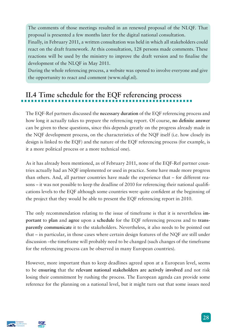The comments of those meetings resulted in an renewed proposal of the NLQF. That proposal is presented a few months later for the digital national consultation.

Finally, in February 2011, a written consultation was held in which all stakeholders could react on the draft framework. At this consultation, 128 persons made comments. These reactions will be used by the ministry to improve the draft version and to finalise the development of the NLQF in May 2011.

During the whole referencing process, a website was opened to involve everyone and give the opportunity to react and comment (www.nlqf.nl).

### **II.4 Time schedule for the EQF referencing process**

The EQF-Ref partners discussed the **necessary duration** of the EQF referencing process and how long it actually takes to prepare the referencing report. Of course, **no definite answer** can be given to these questions, since this depends greatly on the progress already made in the NQF development process, on the characteristics of the NQF itself (i.e. how closely its design is linked to the EQF) and the nature of the EQF referencing process (for example, is it a more political process or a more technical one).

As it has already been mentioned, as of February 2011, none of the EQF-Ref partner countries actually had an NQF implemented or used in practice. Some have made more progress than others. And, all partner countries have made the experience that – for different reasons – it was not possible to keep the deadline of 2010 for referencing their national qualifications levels to the EQF although some countries were quite confident at the beginning of the project that they would be able to present the EQF referencing report in 2010.

The only recommendation relating to the issue of timeframe is that it is nevertheless **important** to **plan** and **agree** upon a **schedule** for the EQF referencing process and to **transparently communicate** it to the stakeholders. Nevertheless, it also needs to be pointed out that – in particular, in those cases where certain design features of the NQF are still under discussion –the timeframe will probably need to be changed (such changes of the timeframe for the referencing process can be observed in many European countries).

However, more important than to keep deadlines agreed upon at a European level, seems to be **ensuring** that the **relevant national stakeholders are actively involved** and not risk losing their commitment by rushing the process. The European agenda can provide some reference for the planning on a national level, but it might turn out that some issues need



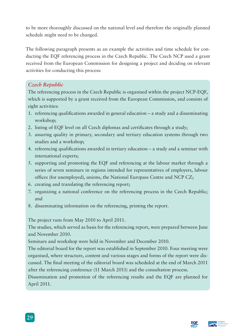to be more thoroughly discussed on the national level and therefore the originally planned schedule might need to be changed.

The following paragraph presents as an example the activities and time schedule for conducting the EQF referencing process in the Czech Republic. The Czech NCP used a grant received from the European Commission for designing a project and deciding on relevant activities for conducting this process:

#### *Czech Republic*

The referencing process in the Czech Republic is organised within the project NCP-EQF, which is supported by a grant received from the European Commission, and consists of eight activities:

- 1. referencing qualifications awarded in general education  $-$  a study and a disseminating workshop;
- 2. listing of EQF level on all Czech diplomas and certificates through a study;
- 3. assuring quality in primary, secondary and tertiary education systems through two studies and a workshop;
- 4. referencing qualifications awarded in tertiary education  $-$  a study and a seminar with international experts;
- 5. supporting and promoting the EQF and referencing at the labour market through a series of seven seminars in regions intended for representatives of employers, labour offices (for unemployed), unions, the National Europass Centre and NCP CZ;
- 6. creating and translating the referencing report;
- 7. organizing a national conference on the referencing process in the Czech Republic; and
- 8. disseminating information on the referencing, printing the report.

The project runs from May 2010 to April 2011.

The studies, which served as basis for the referencing report, were prepared between June and November 2010.

Seminars and workshop were held in November and December 2010.

The editorial board for the report was established in September 2010. Four meeting were organised, where structure, content and various stages and forms of the report were discussed. The final meeting of the editorial board was scheduled at the end of March 2011 after the referencing conference (11 March 2011) and the consultation process.

Dissemination and promotion of the referencing results and the EQF are planned for April 2011.



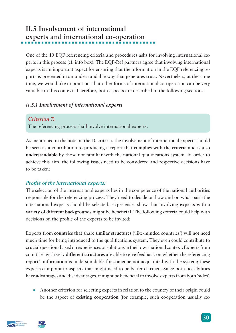### **II.5 Involvement of international experts and international co-operation**

One of the 10 EQF referencing criteria and procedures asks for involving international experts in this process (cf. info box). The EQF-Ref partners agree that involving international experts is an important aspect for ensuring that the information in the EQF referencing reports is presented in an understandable way that generates trust. Nevertheless, at the same time, we would like to point out that other forms of international co-operation can be very valuable in this context. Therefore, both aspects are described in the following sections.

#### *II.5.1 Involvement of international experts*

*Criterion 7:* 

The referencing process shall involve international experts.

As mentioned in the note on the 10 criteria, the involvement of international experts should be seen as a contribution to producing a report that **complies with the criteria** and is also understandable by those not familiar with the national qualifications system. In order to achieve this aim, the following issues need to be considered and respective decisions have to be taken:

#### *Profile of the international experts:*

The selection of the international experts lies in the competence of the national authorities responsible for the referencing process. They need to decide on how and on what basis the international experts should be selected. Experiences show that involving **experts with a variety of different backgrounds** might be **beneficial**. The following criteria could help with decisions on the profile of the experts to be invited:

Experts from **countries** that share **similar structures** ('like-minded countries') will not need much time for being introduced to the qualifications system. They even could contribute to crucial questions based on experiences or solutions in their own national context. Experts from countries with very **different structures** are able to give feedback on whether the referencing report's information is understandable for someone not acquainted with the system; these experts can point to aspects that might need to be better clarified. Since both possibilities have advantages and disadvantages, it might be beneficial to involve experts from both 'sides'.

Another criterion for selecting experts in relation to the country of their origin could be the aspect of **existing cooperation** (for example, such cooperation usually ex-



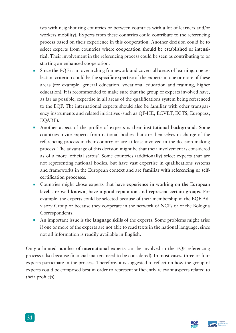ists with neighbouring countries or between countries with a lot of learners and/or workers mobility). Experts from these countries could contribute to the referencing process based on their experience in this cooperation. Another decision could be to select experts from countries where **cooperation should be established or intensi**fied. Their involvement in the referencing process could be seen as contributing to or starting an enhanced cooperation.

- Since the EQF is an overarching framework and covers **all areas of learning**, one selection criterion could be the **specific expertise** of the experts in one or more of these areas (for example, general education, vocational education and training, higher education). It is recommended to make sure that the group of experts involved have, as far as possible, expertise in all areas of the qualifications system being referenced to the EQF. The international experts should also be familiar with other transparency instruments and related initiatives (such as QF-HE, ECVET, ECTS, Europass, EQARF).
- Another aspect of the profile of experts is their **institutional background**. Some countries invite experts from national bodies that are themselves in charge of the referencing process in their country or are at least involved in the decision making process. The advantage of this decision might be that their involvement is considered as of a more 'official status'. Some countries (additionally) select experts that are not representing national bodies, but have vast expertise in qualifications systems and frameworks in the European context and are **familiar with referencing or self**certification processes.
- Countries might chose experts that have **experience in working on the European level**, are **well known**, have a **good reputation** and **represent certain groups**. For example, the experts could be selected because of their membership in the EQF Advisory Group or because they cooperate in the network of NCPs or of the Bologna Correspondents.
- An important issue is the **language skills** of the experts. Some problems might arise if one or more of the experts are not able to read texts in the national language, since not all information is readily available in English.

Only a limited **number of international** experts can be involved in the EQF referencing process (also because financial matters need to be considered). In most cases, three or four experts participate in the process. Therefore, it is suggested to reflect on how the group of experts could be composed best in order to represent sufficiently relevant aspects related to their profile(s).



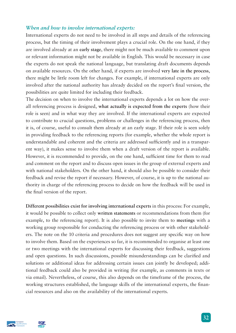#### *When and how to involve international experts:*

International experts do not need to be involved in all steps and details of the referencing process, but the timing of their involvement plays a crucial role. On the one hand, if they are involved already at an **early stage**, there might not be much available to comment upon or relevant information might not be available in English. This would be necessary in case the experts do not speak the national language, but translating draft documents depends on available resources. On the other hand, if experts are involved **very late in the process**, there might be little room left for changes. For example, if international experts are only involved after the national authority has already decided on the report's final version, the possibilities are quite limited for including their feedback.

The decision on when to involve the international experts depends a lot on how the overall referencing process is designed, **what actually is expected from the experts** (how their role is seen) and in what way they are involved. If the international experts are expected to contribute to crucial questions, problems or challenges in the referencing process, then it is, of course, useful to consult them already at an early stage. If their role is seen solely in providing feedback to the referencing reports (for example, whether the whole report is understandable and coherent and the criteria are addressed sufficiently and in a transparent way), it makes sense to involve them when a draft version of the report is available. However, it is recommended to provide, on the one hand, sufficient time for them to read and comment on the report and to discuss open issues in the group of external experts and with national stakeholders. On the other hand, it should also be possible to consider their feedback and revise the report if necessary. However, of course, it is up to the national authority in charge of the referencing process to decide on how the feedback will be used in the final version of the report.

**Different possibilities exist for involving international experts** in this process: For example, it would be possible to collect only **written statements** or recommendations from them (for example, to the referencing report). It is also possible to invite them to **meetings** with a working group responsible for conducting the referencing process or with other stakeholders. The note on the 10 criteria and procedures does not suggest any specific way on how to involve them. Based on the experiences so far, it is recommended to organise at least one or two meetings with the international experts for discussing their feedback, suggestions and open questions. In such discussions, possible misunderstandings can be clarified and solutions or additional ideas for addressing certain issues can jointly be developed; additional feedback could also be provided in writing (for example, as comments in texts or via email). Nevertheless, of course, this also depends on the timeframe of the process, the working structures established, the language skills of the international experts, the financial resources and also on the availability of the international experts.



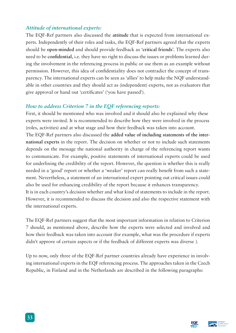#### *Attitude of international experts:*

The EQF-Ref partners also discussed the **attitude** that is expected from international experts. Independently of their roles and tasks, the EQF-Ref partners agreed that the experts should be **open-minded** and should provide feedback as '**critical friends**'. The experts also need to be **confidential**, i.e. they have no right to discuss the issues or problems learned during the involvement in the referencing process in public or use them as an example without permission. However, this idea of confidentiality does not contradict the concept of transparency. The international experts can be seen as 'allies' to help make the NQF understandable in other countries and they should act as (independent) experts, not as evaluators that give approval or hand out 'certificates' ('you have passed').

#### *How to address Criterion 7 in the EQF referencing reports:*

First, it should be mentioned who was involved and it should also be explained why these experts were invited. It is recommended to describe how they were involved in the process (roles, activities) and at what stage and how their feedback was taken into account.

The EQF-Ref partners also discussed the **added value of including statements of the international experts** in the report. The decision on whether or not to include such statements depends on the message the national authority in charge of the referencing report wants to communicate. For example, positive statements of international experts could be used for underlining the credibility of the report. However, the question is whether this is really needed in a 'good' report or whether a 'weaker' report can really benefit from such a statement. Nevertheless, a statement of an international expert pointing out critical issues could also be used for enhancing credibility of the report because it enhances transparency. It is in each country's decision whether and what kind of statements to include in the report. However, it is recommended to discuss the decision and also the respective statement with the international experts.

The EQF-Ref partners suggest that the most important information in relation to Criterion 7 should, as mentioned above, describe how the experts were selected and involved and how their feedback was taken into account (for example, what was the procedure if experts didn't approve of certain aspects or if the feedback of different experts was diverse ).

Up to now, only three of the EQF-Ref partner countries already have experience in involving international experts in the EQF referencing process. The approaches taken in the Czech Republic, in Finland and in the Netherlands are described in the following paragraphs:



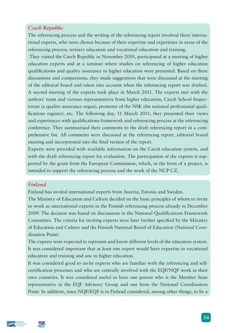#### *Czech Republic*

The referencing process and the writing of the referencing report involved three international experts, who were chosen because of their expertise and experience in areas of the referencing process, tertiary education and vocational education and training.

 They visited the Czech Republic in November 2010, participated at a meeting of higher education experts and at a seminar where studies on referencing of higher education qualifications and quality assurance in higher education were presented. Based on these discussions and comparisons, they made suggestions that were discussed at the meeting of the editorial board and taken into account when the referencing report was drafted. A second meeting of the experts took place in March 2011. The experts met with the authors' team and various representatives from higher education, Czech School Inspectorate (a quality-assurance organ), promoter of the NSK (the national professional qualifications register), etc. The following day, 11 March 2011, they presented their views and experiences with qualifications framework and referencing process at the referencing conference. They summarised their comments to the draft referencing report in a comprehensive list. All comments were discussed at the referencing report, editorial board meeting and incorporated into the final version of the report.

Experts were provided with available information on the Czech education system, and with the draft referencing report for evaluation. The participation of the experts is supported by the grant from the European Commission, which, in the form of a project, is intended to support the referencing process and the work of the NCP CZ.

#### *Finland*

Finland has invited international experts from Austria, Estonia and Sweden.

The Ministry of Education and Culture decided on the basic principles of whom to invite to work as international experts in the Finnish referencing process already in December 2009. The decision was based on discussions in the National Qualifications Framework Committee. The criteria for inviting experts were later further specified by the Ministry of Education and Culture and the Finnish National Board of Education (National Coordination Point).

The experts were expected to represent and know different levels of the education system. It was considered important that at least one expert would have expertise in vocational education and training and one in higher education.

It was considered good to invite experts who are familiar with the referencing and selfcertification processes and who are centrally involved with the EQF/NQF work in their own countries. It was considered useful to have one person who is the Member State representative in the EQF Advisory Group and one from the National Coordination Point. In addition, since NQF/EQF is in Finland considered, among other things, to be a



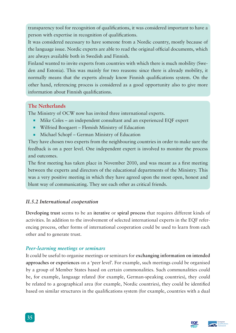transparency tool for recognition of qualifications, it was considered important to have a person with expertise in recognition of qualifications.

It was considered necessary to have someone from a Nordic country, mostly because of the language issue. Nordic experts are able to read the original official documents, which are always available both in Swedish and Finnish.

Finland wanted to invite experts from countries with which there is much mobility (Sweden and Estonia). This was mainly for two reasons: since there is already mobility, it normally means that the experts already know Finnish qualifications system. On the other hand, referencing process is considered as a good opportunity also to give more information about Finnish qualifications.

#### **The Netherlands**

The Ministry of OCW now has invited three international experts.

- Mike Coles an independent consultant and an experienced EQF expert
- Wilfried Boogaert Flemish Ministry of Education
- **Michael Schopf German Ministry of Education**

They have chosen two experts from the neighbouring countries in order to make sure the feedback is on a peer level. One independent expert is involved to monitor the process and outcomes.

The first meeting has taken place in November 2010, and was meant as a first meeting between the experts and directors of the educational departments of the Ministry. This was a very positive meeting in which they have agreed upon the most open, honest and blunt way of communicating. They see each other as critical friends.

#### *II.5.2 International cooperation*

**Developing trust** seems to be an **iterative** or **spiral process** that requires different kinds of activities. In addition to the involvement of selected international experts in the EQF referencing process, other forms of international cooperation could be used to learn from each other and to generate trust.

#### *Peer-learning meetings or seminars*

It could be useful to organise meetings or seminars for **exchanging information on intended approaches or experiences** on a 'peer level'. For example, such meetings could be organised by a group of Member States based on certain commonalities. Such communalities could be, for example, language related (for example, German-speaking countries), they could be related to a geographical area (for example, Nordic countries), they could be identified based on similar structures in the qualifications system (for example, countries with a dual



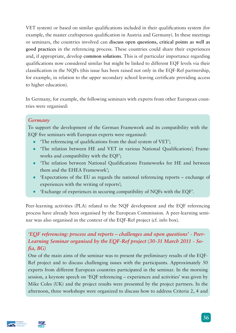VET system) or based on similar qualifications included in their qualifications system (for example, the master craftsperson qualification in Austria and Germany). In these meetings or seminars, the countries involved can **discuss open questions, critical points as well as good practices** in the referencing process. These countries could share their experiences and, if appropriate, develop **common solutions**. This is of particular importance regarding qualifications now considered similar but might be linked to different EQF levels via their classification in the NQFs (this issue has been raised not only in the EQF-Ref partnership, for example, in relation to the upper secondary school leaving certificate providing access to higher education).

In Germany, for example, the following seminars with experts from other European countries were organised:

#### *Germany*

To support the development of the German Framework and its compatibility with the EQF five seminars with European experts were organised:

- The referencing of qualifications from the dual system of VET';
- " The relation between HE and VET in various National Qualifications'; Frameworks and compatibility with the EQF';
- **The relation between National Qualifications Frameworks for HE and between** them and the EHEA Framework';
- 'Expectations of the EU as regards the national referencing reports exchange of experiences with the writing of reports';
- 'Exchange of experiences in securing compatibility of NQFs with the EQF'.

Peer-learning activities (PLA) related to the NQF development and the EQF referencing process have already been organised by the European Commission. A peer-learning seminar was also organised in the context of the EQF-Ref project (cf. info box).

#### *'EQF referencing: process and reports – challenges and open questions' - Peer-Learning Seminar organised by the EQF-Ref project (30-31 March 2011 - Sofia, BG*)

One of the main aims of the seminar was to present the preliminary results of the EQF-Ref project and to discuss challenging issues with the participants. Approximately 50 experts from different European countries participated in the seminar. In the morning session, a keynote speech on 'EQF referencing – experiences and activities' was given by Mike Coles (UK) and the project results were presented by the project partners. In the afternoon, three workshops were organized to discuss how to address Criteria 2, 4 and



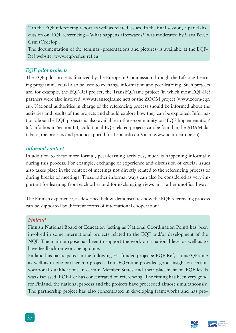7 in the EQF referencing report as well as related issues. In the final session, a panel discussion on 'EQF referencing – What happens afterwards?' was moderated by Slava Pevec Grm (Cedefop).

The documentation of the seminar (presentations and pictures) is available at the EQF-Ref website: www.eqf-ref.eu ref.eu

#### *EQF pilot projects*

The EQF pilot projects financed by the European Commission through the Lifelong Learning programme could also be used to exchange information and peer-learning. Such projects are, for example, the EQF-Ref project, the TransEQFrame project (in which most EQF-Ref partners were also involved: www.transeqframe.net) or the ZOOM project (www.zoom-eqf. eu). National authorities in charge of the referencing process should be informed about the activities and results of the projects and should explore how they can be exploited. Information about the EQF projects is also available in the e-community on 'EQF Implementation' (cf. info box in Section I.3). Additional EQF related projects can be found in the ADAM database, the projects and products portal for Leonardo da Vinci (www.adam-europe.eu).

#### *Informal context*

In addition to these more formal, peer-learning activities, much is happening informally during this process. For example, exchange of experience and discussion of crucial issues also takes place in the context of meetings not directly related to the referencing process or during breaks of meetings. These rather informal ways can also be considered as very important for learning from each other and for exchanging views in a rather unofficial way.

The Finnish experience, as described below, demonstrates how the EQF referencing process can be supported by different forms of international cooperation:

#### *Finland*

Finnish National Board of Education (acting as National Coordination Point) has been involved in some international projects related to the EQF and/or development of the NQF. The main purpose has been to support the work on a national level as well as to have feedback on work being done.

Finland has participated in the following EU-funded projects: EQF-Ref, TransEQFrame as well as in one partnership project. TransEQFrame provided good insight on certain vocational qualifications in certain Member States and their placement on EQF levels was discussed. EQF-Ref has concentrated on referencing. The timing has been very good for Finland, the national process and the projects have proceeded almost simultaneously. The partnership project has also concentrated in developing frameworks and has pro-



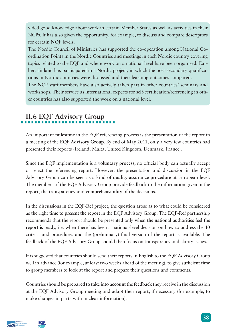vided good knowledge about work in certain Member States as well as activities in their NCPs. It has also given the opportunity, for example, to discuss and compare descriptors for certain NQF levels.

The Nordic Council of Ministries has supported the co-operation among National Coordination Points in the Nordic Countries and meetings in each Nordic country covering topics related to the EQF and where work on a national level have been organised. Earlier, Finland has participated in a Nordic project, in which the post-secondary qualifications in Nordic countries were discussed and their learning outcomes compared.

The NCP staff members have also actively taken part in other countries' seminars and workshops. Their service as international experts for self-certification/referencing in other countries has also supported the work on a national level.

### **II.6 EQF Advisory Group**

An important **milestone** in the EQF referencing process is the **presentation** of the report in a meeting of the **EQF Advisory Group**. By end of May 2011, only a very few countries had presented their reports (Ireland, Malta, United Kingdom, Denmark, France).

Since the EQF implementation is a **voluntary process**, no official body can actually accept or reject the referencing report. However, the presentation and discussion in the EQF Advisory Group can be seen as a kind of **quality-assurance procedure** at European level. The members of the EQF Advisory Group provide feedback to the information given in the report, the **transparency** and **comprehensibility** of the decisions.

In the discussions in the EQF-Ref project, the question arose as to what could be considered as the right **time to present the report** in the EQF Advisory Group. The EQF-Ref partnership recommends that the report should be presented only **when the national authorities feel the report is ready**, i.e. when there has been a national-level decision on how to address the 10 criteria and procedures and the (preliminary) final version of the report is available. The feedback of the EQF Advisory Group should then focus on transparency and clarity issues.

It is suggested that countries should send their reports in English to the EQF Advisory Group well in advance (for example, at least two weeks ahead of the meeting), to give **sufficient time** to group members to look at the report and prepare their questions and comments.

Countries should **be prepared to take into account the feedback** they receive in the discussion at the EQF Advisory Group meeting and adapt their report, if necessary (for example, to make changes in parts with unclear information).



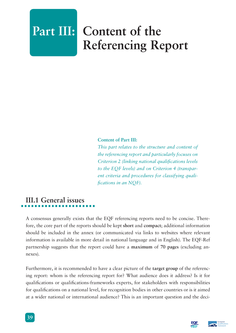## Part III: Content of the  **Referencing Report**

#### **Content of Part III:**

*This part relates to the structure and content of the referencing report and particularly focuses on Criterion 2 (linking national qualifications levels to the EQF levels) and on Criterion 4 (transparent criteria and procedures for classifying qualifications in an NQF).* 

### **III.1 General issues**

A consensus generally exists that the EQF referencing reports need to be concise. Therefore, the core part of the reports should be kept **short** and **compact**; additional information should be included in the annex (or communicated via links to websites where relevant information is available in more detail in national language and in English). The EQF-Ref partnership suggests that the report could have a **maximum** of **70 pages** (excluding annexes).

Furthermore, it is recommended to have a clear picture of the **target group** of the referencing report: whom is the referencing report for? What audience does it address? Is it for qualifications or qualifications-frameworks experts, for stakeholders with responsibilities for qualifications on a national level, for recognition bodies in other countries or is it aimed at a wider national or international audience? This is an important question and the deci-

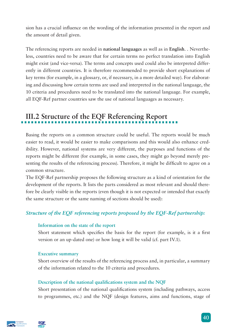sion has a crucial influence on the wording of the information presented in the report and the amount of detail given.

The referencing reports are needed in **national languages** as well as in **English**. . Nevertheless, countries need to be aware that for certain terms no perfect translation into English might exist (and vice-versa). The terms and concepts used could also be interpreted differently in different countries. It is therefore recommended to provide short explanations of key terms (for example, in a glossary, or, if necessary, in a more detailed way). For elaborating and discussing how certain terms are used and interpreted in the national language, the 10 criteria and procedures need to be translated into the national language. For example, all EQF-Ref partner countries saw the use of national languages as necessary.

### **III.2 Structure of the EQF Referencing Report**

Basing the reports on a common structure could be useful. The reports would be much easier to read, it would be easier to make comparisons and this would also enhance credibility. However, national systems are very different, the purposes and functions of the reports might be different (for example, in some cases, they might go beyond merely presenting the results of the referencing process). Therefore, it might be difficult to agree on a common structure.

The EQF-Ref partnership proposes the following structure as a kind of orientation for the development of the reports. It lists the parts considered as most relevant and should therefore be clearly visible in the reports (even though it is not expected or intended that exactly the same structure or the same naming of sections should be used):

#### *Structure of the EQF referencing reports proposed by the EQF-Ref partnership:*

#### **Information on the state of the report**

Short statement which specifies the basis for the report (for example, is it a first version or an up-dated one) or how long it will be valid (cf. part IV.1).

#### **Executive summary**

Short overview of the results of the referencing process and, in particular, a summary of the information related to the 10 criteria and procedures.

#### **Description of the national qualifications system and the NQF**

Short presentation of the national qualifications system (including pathways, access to programmes, etc.) and the NQF (design features, aims and functions, stage of

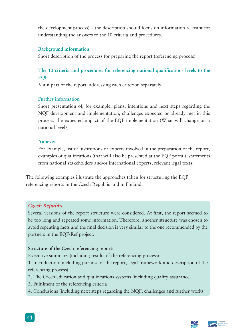the development process) – the description should focus on information relevant for understanding the answers to the 10 criteria and procedures.

#### **Background information**

Short description of the process for preparing the report (referencing process)

#### The 10 criteria and procedures for referencing national qualifications levels to the **EQF**

Main part of the report: addressing each criterion separately

#### **Further information**

Short presentation of, for example, plans, intentions and next steps regarding the NQF development and implementation, challenges expected or already met in this process, the expected impact of the EQF implementation (What will change on a national level?).

#### **Annexes**

For example, list of institutions or experts involved in the preparation of the report, examples of qualifications (that will also be presented at the EQF portal), statements from national stakeholders and/or international experts, relevant legal texts.

The following examples illustrate the approaches taken for structuring the EQF referencing reports in the Czech Republic and in Finland:

#### *Czech Republic*

Several versions of the report structure were considered. At first, the report seemed to be too long and repeated some information. Therefore, another structure was chosen to avoid repeating facts and the final decision is very similar to the one recommended by the partners in the EQF-Ref project.

#### **Structure of the Czech referencing report**:

Executive summary (including results of the referencing process)

1. Introduction (including purpose of the report, legal framework and description of the referencing process)

- 2. The Czech education and qualifications systems (including quality assurance)
- 3. Fulfilment of the referencing criteria
- 4. Conclusions (including next steps regarding the NQF; challenges and further work)



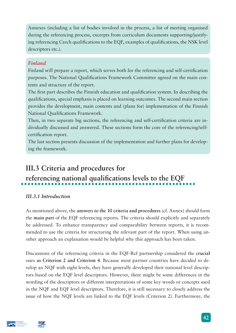Annexes (including a list of bodies involved in the process, a list of meeting organised during the referencing process, excerpts from curriculum documents supporting/justifying referencing Czech qualifications to the EQF, examples of qualifications, the NSK level descriptors etc.).

#### *Finland*

Finland will prepare a report, which serves both for the referencing and self-certification purposes. The National Qualifications Framework Committee agreed on the main contents and structure of the report.

The first part describes the Finnish education and qualification system. In describing the qualifications, special emphasis is placed on learning outcomes. The second main section provides the development, main contents and (plans for) implementation of the Finnish National Qualifications Framework.

Then, in two separate big sections, the referencing and self-certification criteria are individually discussed and answered. These sections form the core of the referencing/selfcertification report.

The last section presents discussion of the implementation and further plans for developing the framework.

### **III.3 Criteria and procedures for**  referencing national qualifications levels to the EQF

#### *III.3.1 Introduction*

As mentioned above, the **answers to the 10 criteria and procedures** (cf. Annex) should form the **main part** of the EQF referencing reports. The criteria should explicitly and separately be addressed. To enhance transparency and comparability between reports, it is recommended to use the criteria for structuring the relevant part of the report. When using another approach an explanation would be helpful why this approach has been taken.

Discussions of the referencing criteria in the EQF-Ref partnership considered the **crucial** ones **as Criterion 2 and Criterion 4**. Because most partner countries have decided to develop an NQF with eight levels, they have generally developed their national level descriptors based on the EQF level descriptors. However, there might be some differences in the wording of the descriptors or different interpretations of some key words or concepts used in the NQF and EQF level descriptors. Therefore, it is still necessary to closely address the issue of how the NQF levels are linked to the EQF levels (Criterion 2). Furthermore, the



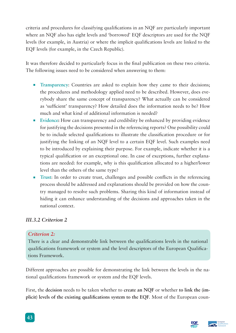criteria and procedures for classifying qualifications in an NQF are particularly important where an NQF also has eight levels and 'borrowed' EQF descriptors are used for the NQF levels (for example, in Austria) or where the implicit qualifications levels are linked to the EQF levels (for example, in the Czech Republic).

It was therefore decided to particularly focus in the final publication on these two criteria. The following issues need to be considered when answering to them:

- **Transparency:** Countries are asked to explain how they came to their decisions; the procedures and methodology applied need to be described. However, does everybody share the same concept of transparency? What actually can be considered as 'sufficient' transparency? How detailed does the information needs to be? How much and what kind of additional information is needed?
- **Evidence:** How can transparency and credibility be enhanced by providing evidence for justifying the decisions presented in the referencing reports? One possibility could be to include selected qualifications to illustrate the classification procedure or for justifying the linking of an NQF level to a certain EQF level. Such examples need to be introduced by explaining their purpose. For example, indicate whether it is a typical qualification or an exceptional one. In case of exceptions, further explanations are needed: for example, why is this qualification allocated to a higher/lower level than the others of the same type?
- **Trust:** In order to create trust, challenges and possible conflicts in the referencing process should be addressed and explanations should be provided on how the country managed to resolve such problems. Sharing this kind of information instead of hiding it can enhance understanding of the decisions and approaches taken in the national context.

#### *III.3.2 Criterion 2*

#### *Criterion 2:*

There is a clear and demonstrable link between the qualifications levels in the national qualifications framework or system and the level descriptors of the European Qualifications Framework.

Different approaches are possible for demonstrating the link between the levels in the national qualifications framework or system and the EQF levels.

First, the **decision** needs to be taken whether to **create an NQF** or whether **to link the (im**plicit) levels of the existing qualifications system to the EQF. Most of the European coun-

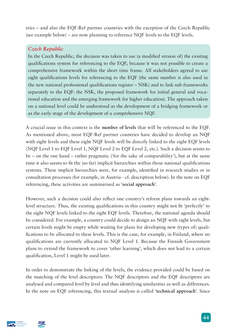tries – and also the EQF-Ref partner countries with the exception of the Czech Republic (see example below) – are now planning to reference NQF levels to the EQF levels.

#### *Czech Republic*

In the Czech Republic, the decision was taken to use (a modified version of) the existing qualifications system for referencing to the EQF, because it was not possible to create a comprehensive framework within the short time frame. All stakeholders agreed to use eight qualifications levels for referencing to the EQF (the same number is also used in the new national professional qualifications register  $-$  NSK) and to link sub-frameworks separately to the EQF: the NSK, the proposed framework for initial general and vocational education and the emerging framework for higher education). The approach taken on a national level could be understood as the development of a bridging framework or as the early stage of the development of a comprehensive NQF.

A crucial issue in this context is the **number of levels** that will be referenced to the EQF. As mentioned above, most EQF-Ref partner countries have decided to develop an NQF with eight levels and these eight NQF levels will be directly linked to the eight EQF levels (NQF Level 1 to EQF Level 1, NQF Level 2 to EQF Level 2, etc.). Such a decision seems to be – on the one hand – rather pragmatic ('for the sake of comparability'), but at the same time it also seems to fit the (so far) implicit hierarchies within those national qualifications systems. These implicit hierarchies were, for example, identified in research studies or in consultation processes (for example, in Austria - cf. description below). In the note on EQF referencing, these activities are summarised as '**social approach**'.

However, such a decision could also reflect one country's reform plans towards an eightlevel structure. Thus, the existing qualifications in this country might not fit 'perfectly' to the eight NQF levels linked to the eight EQF levels. Therefore, the national agenda should be considered. For example, a country could decide to design an NQF with eight levels, but certain levels might be empty while waiting for plans for developing new (types of) qualifications to be allocated to these levels. This is the case, for example, in Finland, where no qualifications are currently allocated to NQF Level 1. Because the Finnish Government plans to extend the framework to cover 'other learning', which does not lead to a certain qualification, Level 1 might be used later.

In order to demonstrate the linking of the levels, the evidence provided could be based on the matching of the level descriptors: The NQF descriptors and the EQF descriptors are analysed and compared level by level and thus identifying similarities as well as differences. In the note on EQF referencing, this textual analysis is called '**technical approach**'. Since



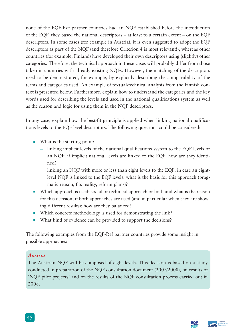none of the EQF-Ref partner countries had an NQF established before the introduction of the EQF, they based the national descriptors – at least to a certain extent – on the EQF descriptors. In some cases (for example in Austria), it is even suggested to adopt the EQF descriptors as part of the NQF (and therefore Criterion 4 is most relevant!), whereas other countries (for example, Finland) have developed their own descriptors using (slightly) other categories. Therefore, the technical approach in these cases will probably differ from those taken in countries with already existing NQFs. However, the matching of the descriptors need to be demonstrated, for example, by explicitly describing the comparability of the terms and categories used. An example of textual/technical analysis from the Finnish context is presented below. Furthermore, explain how to understand the categories and the key words used for describing the levels and used in the national qualifications system as well as the reason and logic for using them in the NQF descriptors.

In any case, explain how the **best-fit principle** is applied when linking national qualifications levels to the EQF level descriptors. The following questions could be considered:

- What is the starting point:
	- $-$  linking implicit levels of the national qualifications system to the EQF levels or an NQF; if implicit national levels are linked to the EQF: how are they identified?
	- linking an NQF with more or less than eight levels to the EQF; in case an eightlevel NQF is linked to the EQF levels: what is the basis for this approach (pragmatic reason, fits reality, reform plans)?
- Which approach is used: social or technical approach or both and what is the reason for this decision; if both approaches are used (and in particular when they are showing different results): how are they balanced?
- Which concrete methodology is used for demonstrating the link?
- What kind of evidence can be provided to support the decisions?

The following examples from the EQF-Ref partner countries provide some insight in possible approaches:

#### *Austria*

The Austrian NQF will be composed of eight levels. This decision is based on a study conducted in preparation of the NQF consultation document (2007/2008), on results of 'NQF pilot projects' and on the results of the NQF consultation process carried out in 2008.

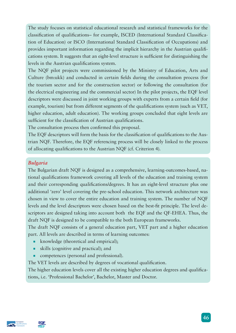The study focuses on statistical educational research and statistical frameworks for the classification of qualifications– for example, ISCED (International Standard Classification of Education) or ISCO (International Standard Classification of Occupations) and provides important information regarding the implicit hierarchy in the Austrian qualifications system. It suggests that an eight-level structure is sufficient for distinguishing the levels in the Austrian qualifications system.

The NQF pilot projects were commissioned by the Ministry of Education, Arts and Culture (bm:ukk) and conducted in certain fields during the consultation process (for the tourism sector and for the construction sector) or following the consultation (for the electrical engineering and the commercial sector) In the pilot projects, the EQF level descriptors were discussed in joint working groups with experts from a certain field (for example, tourism) but from different segments of the qualifications system (such as VET, higher education, adult education). The working groups concluded that eight levels are sufficient for the classification of Austrian qualifications.

The consultation process then confirmed this proposal.

The EQF descriptors will form the basis for the classification of qualifications to the Austrian NQF. Therefore, the EQF referencing process will be closely linked to the process of allocating qualifications to the Austrian NQF (cf. Criterion 4).

#### *Bulgaria*

The Bulgarian draft NQF is designed as a comprehensive, learning-outcomes-based, national qualifications framework covering all levels of the education and training system and their corresponding qualifications/degrees. It has an eight-level structure plus one additional 'zero' level covering the pre-school education. This network architecture was chosen in view to cover the entire education and training system. The number of NQF levels and the level descriptors were chosen based on the best-fit principle. The level descriptors are designed taking into account both the EQF and the QF-EHEA. Thus, the draft NQF is designed to be compatible to the both European frameworks.

The draft NQF consists of a general education part, VET part and a higher education part. All levels are described in terms of learning outcomes:

- knowledge (theoretical and empirical);
- skills (cognitive and practical); and
- **competences** (personal and professional).

The VET levels are described by degrees of vocational qualification.

The higher education levels cover all the existing higher education degrees and qualifications, i.e. 'Professional Bachelor', Bachelor, Master and Doctor.

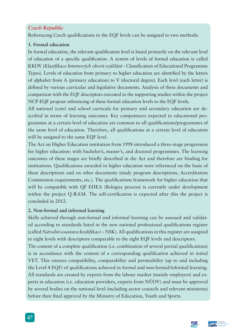#### *Czech Republic*

Referencing Czech qualifications to the EQF levels can be assigned to two methods:

#### **1. Formal education**

In formal education, the relevant qualification level is based primarily on the relevant level of education of a specific qualification. A system of levels of formal education is called KKOV (*Klasifikace kmenových oborů vzdělání* - Classification of Educational Programme Types). Levels of education from primary to higher education are identified by the letters of alphabet from A (primary education) to V (doctoral degree). Each level (each letter) is defined by various curricular and legislative documents. Analysis of these documents and comparison with the EQF descriptors executed in the supporting studies within the project NCP-EQF propose referencing of these formal education levels to the EQF levels.

All national (core) and school curricula for primary and secondary education are described in terms of learning outcomes. Key competences expected in educational programmes at a certain level of education are common to all qualifications/programmes of the same level of education. Therefore, all qualifications at a certain level of education will be assigned to the same EQF level.

The Act on Higher Education institution from 1998 introduced a three-stage progression for higher education: with bachelor's, master's, and doctoral programmes. The learning outcomes of these stages are briefly described in the Act and therefore are binding for institutions. Qualifications awarded in higher education were referenced on the basis of these descriptions and on other documents (study program descriptions, Accreditation Commission requirements, etc.). The qualifications framework for higher education that will be compatible with QF EHEA (Bologna process) is currently under development within the project Q-RAM. The self-certification is expected after this the project is concluded in 2012.

#### **2. Non-formal and informal learning**

Skills achieved through non-formal and informal learning can be assessed and validated according to standards listed in the new national professional qualifications register (called *Národní soustava kvalifikací* – NSK). All qualifications in this register are assigned to eight levels with descriptors comparable to the eight EQF levels and descriptors.

The content of a complete qualification (i.e. combination of several partial qualifications) is in accordance with the content of a corresponding qualification achieved in initial VET. This ensures compatibility, comparability and permeability (up to and including the Level 4 EQF) of qualifications achieved in formal and non-formal/informal learning. All standards are created by experts from the labour market (mainly employers) and experts in education (i.e. education providers, experts from NÚOV) and must be approved by several bodies on the national level (including sector councils and relevant ministries) before their final approval by the Ministry of Education, Youth and Sports.

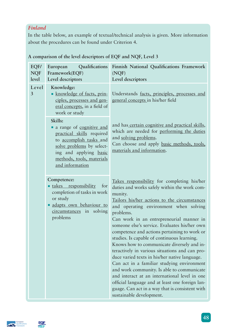#### *Finland*

In the table below, an example of textual/technical analysis is given. More information about the procedures can be found under Criterion 4.

| EQF/<br><b>NQF</b><br>level | Qualifications<br>European<br>Framework(EQF)<br>Level descriptors                                                                                                                                           | Finnish National Qualifications Framework<br>(NQF)<br>Level descriptors                                                                                                                                                                                                                                                                                                                                                                                                                                                                                                                                                                                                                                                                                                                                                                   |
|-----------------------------|-------------------------------------------------------------------------------------------------------------------------------------------------------------------------------------------------------------|-------------------------------------------------------------------------------------------------------------------------------------------------------------------------------------------------------------------------------------------------------------------------------------------------------------------------------------------------------------------------------------------------------------------------------------------------------------------------------------------------------------------------------------------------------------------------------------------------------------------------------------------------------------------------------------------------------------------------------------------------------------------------------------------------------------------------------------------|
| Level<br>3                  | Knowledge:<br>• knowledge of facts, prin-<br>ciples, processes and gen-<br>eral concepts, in a field of<br>work or study                                                                                    | Understands facts, principles, processes and<br>general concepts in his/her field                                                                                                                                                                                                                                                                                                                                                                                                                                                                                                                                                                                                                                                                                                                                                         |
|                             | Skills:<br>• a range of <u>cognitive and</u><br>practical skills required<br>to accomplish tasks and<br>solve problems by select-<br>ing and applying basic<br>methods, tools, materials<br>and information | and has certain cognitive and practical skills,<br>which are needed for performing the duties<br>and solving problems.<br>Can choose and apply basic methods, tools,<br>materials and information.                                                                                                                                                                                                                                                                                                                                                                                                                                                                                                                                                                                                                                        |
|                             | Competence:<br><b>u</b> takes responsibility<br>for<br>completion of tasks in work<br>or study<br>adapts own behaviour to<br>circumstances in solving<br>problems                                           | Takes responsibility for completing his/her<br>duties and works safely within the work com-<br>munity.<br>Tailors his/her actions to the circumstances<br>and operating environment when solving<br>problems.<br>Can work in an entrepreneurial manner in<br>someone else's service. Evaluates his/her own<br>competence and actions pertaining to work or<br>studies. Is capable of continuous learning.<br>Knows how to communicate diversely and in-<br>teractively in various situations and can pro-<br>duce varied texts in his/her native language.<br>Can act in a familiar studying environment<br>and work community. Is able to communicate<br>and interact at an international level in one<br>official language and at least one foreign lan-<br>guage. Can act in a way that is consistent with<br>sustainable development. |

**A comparison of the level descriptors of EQF and NQF, Level 3** 



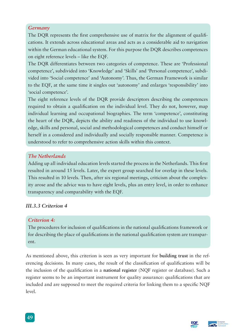#### *Germany*

The DQR represents the first comprehensive use of matrix for the alignment of qualifications. It extends across educational areas and acts as a considerable aid to navigation within the German educational system. For this purpose the DQR describes competences on eight reference levels – like the EQF.

The DQR differentiates between two categories of competence. These are 'Professional competence', subdivided into 'Knowledge' and 'Skills' and 'Personal competence', subdivided into 'Social competence' and 'Autonomy'. Thus, the German Framework is similar to the EQF, at the same time it singles out 'autonomy' and enlarges 'responsibility' into 'social competence'.

The eight reference levels of the DQR provide descriptors describing the competences required to obtain a qualification on the individual level. They do not, however, map individual learning and occupational biographies. The term 'competence', constituting the heart of the DQR, depicts the ability and readiness of the individual to use knowledge, skills and personal, social and methodological competences and conduct himself or herself in a considered and individually and socially responsible manner. Competence is understood to refer to comprehensive action skills within this context.

#### *The Netherlands*

Adding up all individual education levels started the process in the Netherlands. This first resulted in around 15 levels. Later, the expert group searched for overlap in these levels. This resulted in 10 levels. Then, after six regional meetings, criticism about the complexity arose and the advice was to have eight levels, plus an entry level, in order to enhance transparency and comparability with the EQF.

#### *III.3.3 Criterion 4*

#### *Criterion 4:*

The procedures for inclusion of qualifications in the national qualifications framework or for describing the place of qualifications in the national qualification system are transparent.

As mentioned above, this criterion is seen as very important for **building trust** in the referencing decisions. In many cases, the result of the classification of qualifications will be the inclusion of the qualification in a **national register** (NQF register or database). Such a register seems to be an important instrument for quality assurance: qualifications that are included and are supposed to meet the required criteria for linking them to a specific NQF level.



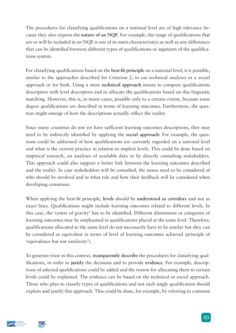The procedures for classifying qualifications on a national level are of high relevance because they also express the **nature of an NQF**. For example, the range of qualifications that are or will be included in an NQF is one of its main characteristics as well as any differences that can be identified between different types of qualifications or segments of the qualifications system.

For classifying qualifications based on the **best-fit principle** on a national level, it is possible, similar to the approaches described for Criterion 2, to use technical analyses or a social approach or for both. Using a more **technical approach** means to compare qualifications descriptors with level descriptors and to allocate the qualifications based on this linguistic matching. However, this is, in many cases, possible only to a certain extent, because some degree qualifications are described in terms of learning outcomes. Furthermore, the question might emerge of how the descriptions actually reflect the reality.

Since many countries do not yet have sufficient learning outcomes descriptions, they may need to be indirectly identified by applying the **social approach**: For example, the questions could be addressed of how qualifications are currently regarded on a national level and what is the current practice in relation to implicit levels. This could be done based on empirical research, on analyses of available data or by directly consulting stakeholders. This approach could also support a better link between the learning outcomes described and the reality. In case stakeholders will be consulted, the issues need to be considered of who should be involved and in what role and how their feedback will be considered when developing consensus.

When applying the best-fit principle, levels should be **understood** as **corridors** and not as exact lines. Qualifications might include learning outcomes related to different levels. In this case, the 'centre of gravity' has to be identified. Different dimensions or categories of learning outcomes may be emphasised in qualifications placed at the same level. Therefore, qualifications allocated to the same level do not necessarily have to be similar but they can be considered as equivalent in terms of level of learning outcomes achieved (principle of 'equivalence but not similarity').

To generate trust in this context, **transparently describe** the procedures for classifying qualifications, in order to justify the decisions and to provide evidence. For example, descriptions of selected qualifications could be added and the reason for allocating them to certain levels could be explained. The evidence can be based on the technical or social approach. Those who plan to classify types of qualifications and not each single qualification should explain and justify this approach. This could be done, for example, by referring to common



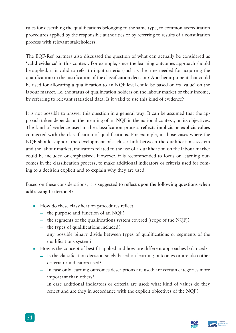rules for describing the qualifications belonging to the same type, to common accreditation procedures applied by the responsible authorities or by referring to results of a consultation process with relevant stakeholders.

The EQF-Ref partners also discussed the question of what can actually be considered as '**valid evidence**' in this context. For example, since the learning outcomes approach should be applied, is it valid to refer to input criteria (such as the time needed for acquiring the qualification) in the justification of the classification decision? Another argument that could be used for allocating a qualification to an NQF level could be based on its 'value' on the labour market, i.e. the status of qualification holders on the labour market or their income, by referring to relevant statistical data. Is it valid to use this kind of evidence?

It is not possible to answer this question in a general way: It can be assumed that the approach taken depends on the meaning of an NQF in the national context, on its objectives. The kind of evidence used in the classification process reflects implicit or explicit values connected with the classification of qualifications. For example, in those cases where the NQF should support the development of a closer link between the qualifications system and the labour market, indicators related to the use of a qualification on the labour market could be included or emphasised. However, it is recommended to focus on learning outcomes in the classification process, to make additional indicators or criteria used for coming to a decision explicit and to explain why they are used.

Based on these considerations, it is suggested to reflect upon the following questions when **addressing Criterion 4**:

- $\blacksquare$  How do these classification procedures reflect:
	- the purpose and function of an NQF?
	- $-$  the segments of the qualifications system covered (scope of the NQF)?
	- $-$  the types of qualifications included?
	- $-$  any possible binary divide between types of qualifications or segments of the qualifications system?
- How is the concept of best-fit applied and how are different approaches balanced?
	- $-$  Is the classification decision solely based on learning outcomes or are also other criteria or indicators used?
	- In case only learning outcomes descriptions are used: are certain categories more important than others?
	- In case additional indicators or criteria are used: what kind of values do they reflect and are they in accordance with the explicit objectives of the NQF?



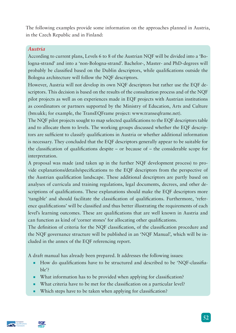The following examples provide some information on the approaches planned in Austria, in the Czech Republic and in Finland:

#### *Austria*

According to current plans, Levels 6 to 8 of the Austrian NQF will be divided into a 'Bologna-strand' and into a 'non-Bologna-strand'. Bachelor-, Master- and PhD-degrees will probably be classified based on the Dublin descriptors, while qualifications outside the Bologna architecture will follow the NQF descriptors.

However, Austria will not develop its own NQF descriptors but rather use the EQF descriptors. This decision is based on the results of the consultation process and of the NQF pilot projects as well as on experiences made in EQF projects with Austrian institutions as coordinators or partners supported by the Ministry of Education, Arts and Culture (bm:ukk; for example, the TransEQFrame project: www.transeqframe.net).

The NQF pilot projects sought to map selected qualifications to the EQF descriptors table and to allocate them to levels. The working groups discussed whether the EQF descriptors are sufficient to classify qualifications in Austria or whether additional information is necessary. They concluded that the EQF descriptors generally appear to be suitable for the classification of qualifications despite – or because of  $-$  the considerable scope for interpretation.

A proposal was made (and taken up in the further NQF development process) to provide explanations/details/specifications to the EQF descriptors from the perspective of the Austrian qualification land scape. These additional descriptors are partly based on analyses of curricula and training regulations, legal documents, decrees, and other descriptions of qualifications. These explanations should make the EQF descriptors more 'tangible' and should facilitate the classification of qualifications. Furthermore, 'reference qualifications' will be classified and thus better illustrating the requirements of each level's learning outcomes. These are qualifications that are well known in Austria and can function as kind of 'corner stones' for allocating other qualifications.

The definition of criteria for the NQF classification, of the classification procedure and the NQF governance structure will be published in an 'NQF Manual', which will be included in the annex of the EQF referencing report.

A draft manual has already been prepared. It addresses the following issues:

- How do qualifications have to be structured and described to be 'NQF-classifiable'?
- What information has to be provided when applying for classification?
- What criteria have to be met for the classification on a particular level?
- Which steps have to be taken when applying for classification?



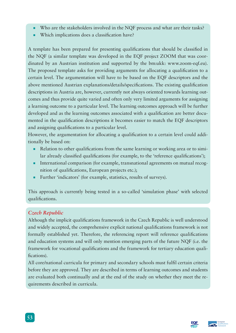- Who are the stakeholders involved in the NQF process and what are their tasks?
- $\blacksquare$  Which implications does a classification have?

A template has been prepared for presenting qualifications that should be classified in the NQF (a similar template was developed in the EQF project ZOOM that was coordinated by an Austrian institution and supported by the bm:ukk: www.zoom-eqf.eu). The proposed template asks for providing arguments for allocating a qualification to a certain level. The argumentation will have to be based on the EQF descriptors and the above mentioned Austrian explanations/details/specifications. The existing qualification descriptions in Austria are, however, currently not always oriented towards learning outcomes and thus provide quite varied and often only very limited arguments for assigning a learning outcome to a particular level. The learning outcomes approach will be further developed and as the learning outcomes associated with a qualification are better documented in the qualification descriptions it becomes easier to match the EQF descriptors and assigning qualifications to a particular level.

However, the argumentation for allocating a qualification to a certain level could additionally be based on:

- Relation to other qualifications from the same learning or working area or to similar already classified qualifications (for example, to the 'reference qualifications');
- International comparison (for example, transnational agreements on mutual recognition of qualifications, European projects etc.);
- Further 'indicators' (for example, statistics, results of surveys).

This approach is currently being tested in a so-called 'simulation phase' with selected qualifications.

#### *Czech Republic*

Although the implicit qualifications framework in the Czech Republic is well understood and widely accepted, the comprehensive explicit national qualifications framework is not formally established yet. Therefore, the referencing report will reference qualifications and education systems and will only mention emerging parts of the future NQF (i.e. the framework for vocational qualifications and the framework for tertiary education qualifications).

All core/national curricula for primary and secondary schools must fulfil certain criteria before they are approved. They are described in terms of learning outcomes and students are evaluated both continually and at the end of the study on whether they meet the requirements described in curricula.



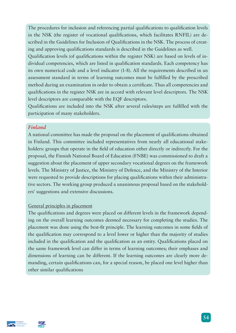The procedures for inclusion and referencing partial qualifications to qualification levels in the NSK (the register of vocational qualifications, which facilitates RNFIL) are described in the Guidelines for Inclusion of Qualifications in the NSK. The process of creating and approving qualifications standards is described in the Guidelines as well.

Qualification levels (of qualifications within the register NSK) are based on levels of individual competencies, which are listed in qualification standards. Each competency has its own numerical code and a level indicator (1-8). All the requirements described in an assessment standard in terms of learning outcomes must be fulfilled by the prescribed method during an examination in order to obtain a certificate. Thus all competencies and qualifications in the register NSK are in accord with relevant level descriptors. The NSK level descriptors are comparable with the EQF descriptors.

Qualifications are included into the NSK after several rules/steps are fulfilled with the participation of many stakeholders.

#### *Finland*

A national committee has made the proposal on the placement of qualifications obtained in Finland. This committee included representatives from nearly all educational stakeholders: groups that operate in the field of education either directly or indirectly. For the proposal, the Finnish National Board of Education (FNBE) was commissioned to draft a suggestion about the placement of upper secondary vocational degrees on the framework levels. The Ministry of Justice, the Ministry of Defence, and the Ministry of the Interior were requested to provide descriptions for placing qualifications within their administrative sectors. The working group produced a unanimous proposal based on the stakeholders' suggestions and extensive discussions.

#### General principles in placement

The qualifications and degrees were placed on different levels in the framework depending on the overall learning outcomes deemed necessary for completing the studies. The placement was done using the best-fit principle. The learning outcomes in some fields of the qualification may correspond to a level lower or higher than the majority of studies included in the qualification and the qualification as an entity. Qualifications placed on the same framework level can differ in terms of learning outcomes; their emphases and dimensions of learning can be different. If the learning outcomes are clearly more demanding, certain qualifications can, for a special reason, be placed one level higher than other similar qualifications



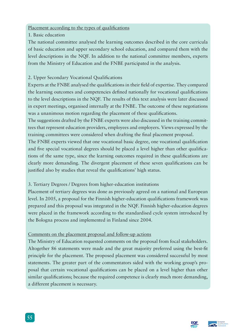#### Placement according to the types of qualifications

1. Basic education

The national committee analysed the learning outcomes described in the core curricula of basic education and upper secondary school education, and compared them with the level descriptions in the NQF. In addition to the national committee members, experts from the Ministry of Education and the FNBE participated in the analysis.

#### 2. Upper Secondary Vocational Qualifications

Experts at the FNBE analysed the qualifications in their field of expertise. They compared the learning outcomes and competencies defined nationally for vocational qualifications to the level descriptions in the NQF. The results of this text analysis were later discussed in expert meetings, organised internally at the FNBE. The outcome of these negotiations was a unanimous motion regarding the placement of these qualifications.

The suggestions drafted by the FNBE experts were also discussed in the training committees that represent education providers, employees and employers. Views expressed by the training committees were considered when drafting the final placement proposal.

The FNBE experts viewed that one vocational basic degree, one vocational qualification and five special vocational degrees should be placed a level higher than other qualifications of the same type, since the learning outcomes required in these qualifications are clearly more demanding. The divergent placement of these seven qualifications can be justified also by studies that reveal the qualifications' high status.

#### 3. Tertiary Degrees / Degrees from higher-education institutions

Placement of tertiary degrees was done as previously agreed on a national and European level. In 2005, a proposal for the Finnish higher-education qualifications framework was prepared and this proposal was integrated in the NQF. Finnish higher-education degrees were placed in the framework according to the standardised cycle system introduced by the Bologna process and implemented in Finland since 2004.

#### Comments on the placement proposal and follow-up actions

The Ministry of Education requested comments on the proposal from focal stakeholders. Altogether 86 statements were made and the great majority preferred using the best-fit principle for the placement. The proposed placement was considered successful by most statements. The greater part of the commentators sided with the working group's proposal that certain vocational qualifications can be placed on a level higher than other similar qualifications; because the required competence is clearly much more demanding, a different placement is necessary.



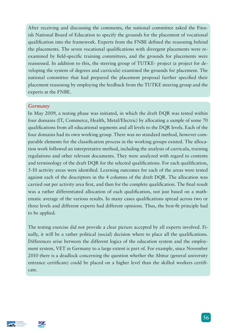After receiving and discussing the comments, the national committee asked the Finnish National Board of Education to specify the grounds for the placement of vocational qualification into the framework. Experts from the FNBE defined the reasoning behind the placements. The seven vocational qualifications with divergent placements were reexamined by field-specific training committees, and the grounds for placements were reassessed. In addition to this, the steering group of TUTKE- project (a project for developing the system of degrees and curricula) examined the grounds for placement. The national committee that had prepared the placement proposal further specified their placement reasoning by employing the feedback from the TUTKE steering group and the experts at the FNBE.

#### *Germany*

In May 2009, a testing phase was initiated, in which the draft DQR was tested within four domains (IT, Commerce, Health, Metal/Electric) by allocating a sample of some 70 qualifications from all educational segments and all levels to the DQR levels. Each of the four domains had its own working group. There was no standard method, however comparable elements for the classification process in the working groups existed. The allocation work followed an interpretative method, including the analysis of curricula, training regulations and other relevant documents. They were analyzed with regard to contents and terminology of the draft DQR for the selected qualifications. For each qualification, 5-10 activity areas were identified. Learning outcomes for each of the areas were tested against each of the descriptors in the 4 columns of the draft DQR. The allocation was carried out per activity area first, and then for the complete qualification. The final result was a rather differentiated allocation of each qualification, not just based on a mathematic average of the various results. In many cases qualifications spread across two or three levels and different experts had different opinions. Thus, the best-fit principle had to be applied.

The testing exercise did not provide a clear picture accepted by all experts involved. Finally, it will be a rather political (social) decision where to place all the qualifications. Differences arise between the different logics of the education system and the employment system, VET in Germany to a large extent is part of. For example, since November 2010 there is a deadlock concerning the question whether the Abitur (general university entrance certificate) could be placed on a higher level than the skilled workers certificate.



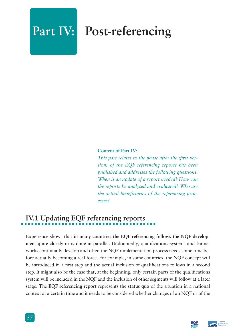### **Part IV: Post-referencing**

#### **Content of Part IV:**

This part relates to the phase after the (first ver*sion) of the EQF referencing reports has been published and addresses the following questions: When is an update of a report needed? How can the reports be analysed and evaluated? Who are*  the actual beneficiaries of the referencing proc*esses?*

### **IV.1 Updating EQF referencing reports**

Experience shows that **in many countries the EQF referencing follows the NQF develop**ment quite closely or is done in parallel. Undoubtedly, qualifications systems and frameworks continually develop and often the NQF implementation process needs some time before actually becoming a real force. For example, in some countries, the NQF concept will be introduced in a first step and the actual inclusion of qualifications follows in a second step. It might also be the case that, at the beginning, only certain parts of the qualifications system will be included in the NQF and the inclusion of other segments will follow at a later stage. The **EQF referencing report** represents the **status quo** of the situation in a national context at a certain time and it needs to be considered whether changes of an NQF or of the



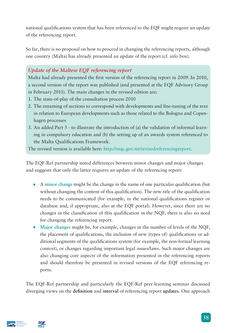national qualifications system that has been referenced to the EQF might require an update of the referencing report.

So far, there is no proposal on how to proceed in changing the referencing reports, although one country (Malta) has already presented an update of the report (cf. info box).

#### *Update of the Maltese EQF referencing report*

Malta had already presented the first version of the referencing report in 2009. In 2010, a second version of the report was published (and presented at the EQF Advisory Group in February 2011). The main changes in the revised edition are:

- 1. The state-of-play of the consultation process 2010
- 2. The renaming of sections to correspond with developments and fine-tuning of the text in relation to European developments such as those related to the Bologna and Copenhagen processes
- 3. An added Part 5 to illustrate the introduction of (a) the validation of informal learning in compulsory education and (b) the setting up of an awards system referenced to the Malta Qualifications Framework.

The revised version is available here: http://mqc.gov.mt/revisedreferencingreport.

The EQF-Ref partnership noted differences between minor changes and major changes and suggests that only the latter requires an update of the referencing report:

- A minor change might be the change in the name of one particular qualification (but without changing the content of this qualification). The new title of the qualification needs to be communicated (for example, in the national qualifications register or database and, if appropriate, also at the EQF portal). However, since there are no changes in the classification of this qualification in the NQF, there is also no need for changing the referencing report.
- **Major changes** might be, for example, changes in the number of levels of the NQF, the placement of qualifications, the inclusion of new (types of) qualifications or additional segments of the qualifications system (for example, the non-formal learning context), or changes regarding important legal issues/laws. Such major changes are also changing core aspects of the information presented in the referencing reports and should therefore be presented in revised versions of the EQF referencing reports.

The EQF-Ref partnership and particularly the EQF-Ref peer-learning seminar discussed diverging views on the definition and interval of referencing report updates. One approach



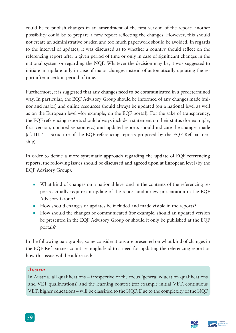could be to publish changes in an **amendment** of the first version of the report; another possibility could be to prepare a new report reflecting the changes. However, this should not create an administrative burden and too much paperwork should be avoided. In regards to the interval of updates, it was discussed as to whether a country should reflect on the referencing report after a given period of time or only in case of significant changes in the national system or regarding the NQF. Whatever the decision may be, it was suggested to initiate an update only in case of major changes instead of automatically updating the report after a certain period of time.

Furthermore, it is suggested that any **changes need to be communicated** in a predetermined way. In particular, the EQF Advisory Group should be informed of any changes made (minor and major) and online resources should always be updated (on a national level as well as on the European level –for example, on the EQF portal). For the sake of transparency, the EQF referencing reports should always include a statement on their status (for example, first version, updated version etc.) and updated reports should indicate the changes made (cf. III.2. – Structure of the EQF referencing reports proposed by the EQF-Ref partnership).

In order to define a more systematic approach regarding the update of EQF referencing **reports**, the following issues should be **discussed and agreed upon at European level** (by the EQF Advisory Group):

- What kind of changes on a national level and in the contents of the referencing reports actually require an update of the report and a new presentation in the EQF Advisory Group?
- How should changes or updates be included and made visible in the reports?
- How should the changes be communicated (for example, should an updated version be presented in the EQF Advisory Group or should it only be published at the EQF portal)?

In the following paragraphs, some considerations are presented on what kind of changes in the EQF-Ref partner countries might lead to a need for updating the referencing report or how this issue will be addressed:

#### *Austria*

In Austria, all qualifications – irrespective of the focus (general education qualifications and VET qualifications) and the learning context (for example initial VET, continuous VET, higher education) – will be classified to the NQF. Due to the complexity of the NQF



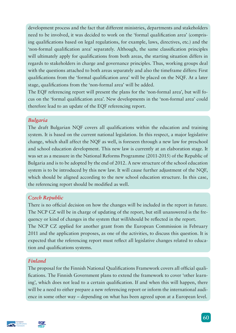development process and the fact that different ministries, departments and stakeholders need to be involved, it was decided to work on the 'formal qualification area' (comprising qualifications based on legal regulations, for example, laws, directives, etc.) and the 'non-formal qualification area' separately. Although, the same classification principles will ultimately apply for qualifications from both areas, the starting situation differs in regards to stakeholders in charge and governance principles. Thus, working groups deal with the questions attached to both areas separately and also the timeframe differs: First qualifications from the 'formal qualification area' will be placed on the NQF. At a later stage, qualifications from the 'non-formal area' will be added.

The EQF referencing report will present the plans for the 'non-formal area', but will focus on the 'formal qualification area'. New developments in the 'non-formal area' could therefore lead to an update of the EQF referencing report.

#### *Bulgaria*

The draft Bulgarian NQF covers all qualifications within the education and training system. It is based on the current national legislation. In this respect, a major legislative change, which shall affect the NQF as well, is foreseen through a new law for preschool and school education development. This new law is currently at an elaboration stage. It was set as a measure in the National Reforms Programme (2011-2015) of the Republic of Bulgaria and is to be adopted by the end of 2012. A new structure of the school education system is to be introduced by this new law. It will cause further adjustment of the NQF, which should be aligned according to the new school education structure. In this case, the referencing report should be modified as well.

#### *Czech Republic*

There is no official decision on how the changes will be included in the report in future. The NCP CZ will be in charge of updating of the report, but still unanswered is the frequency or kind of changes in the system that will/should be reflected in the report. The NCP CZ applied for another grant from the European Commission in February 2011 and the application proposes, as one of the activities, to discuss this question. It is expected that the referencing report must reflect all legislative changes related to educa-

tion and qualifications systems.

#### *Finland*

The proposal for the Finnish National Qualifications Framework covers all official qualifications. The Finnish Government plans to extend the framework to cover 'other learning', which does not lead to a certain qualification. If and when this will happen, there will be a need to either prepare a new referencing report or inform the international audience in some other way – depending on what has been agreed upon at a European level.



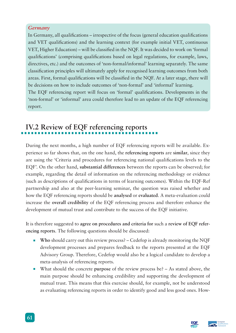#### *Germany*

In Germany, all qualifications – irrespective of the focus (general education qualifications and VET qualifications) and the learning context (for example initial VET, continuous VET, Higher Education) – will be classified in the NQF. It was decided to work on 'formal qualifications' (comprising qualifications based on legal regulations, for example, laws, directives, etc.) and the outcomes of 'non-formal/informal' learning separately. The same classification principles will ultimately apply for recognised learning outcomes from both areas. First, formal qualifications will be classified in the NQF. At a later stage, there will be decisions on how to include outcomes of 'non-formal' and 'informal' learning. The EQF referencing report will focus on 'formal' qualifications. Developments in the 'non-formal' or 'informal' area could therefore lead to an update of the EQF referencing

report.

### **IV.2 Review of EQF referencing reports**

During the next months, a high number of EQF referencing reports will be available. Experience so far shows that, on the one hand, the **referencing reports** are **similar**, since they are using the 'Criteria and procedures for referencing national qualifications levels to the EQF'. On the other hand, **substantial differences** between the reports can be observed; for example, regarding the detail of information on the referencing methodology or evidence (such as descriptions of qualifications in terms of learning outcomes). Within the EQF-Ref partnership and also at the peer-learning seminar, the question was raised whether and how the EQF referencing reports should be **analysed** or **evaluated**. A meta-evaluation could increase the **overall credibility** of the EQF referencing process and therefore enhance the development of mutual trust and contribute to the success of the EQF initiative.

It is therefore suggested to **agree on procedures and criteria for** such a **review of EQF referencing reports**. The following questions should be discussed:

- Who should carry out this review process? Cedefop is already monitoring the NQF development processes and prepares feedback to the reports presented at the EQF Advisory Group. Therefore, Cedefop would also be a logical candidate to develop a meta-analysis of referencing reports.
- What should the concrete **purpose** of the review process be? As stated above, the main purpose should be enhancing credibility and supporting the development of mutual trust. This means that this exercise should, for example, not be understood as evaluating referencing reports in order to identify good and less good ones. How-



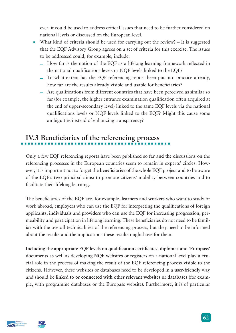ever, it could be used to address critical issues that need to be further considered on national levels or discussed on the European level.

- What kind of **criteria** should be used for carrying out the review? It is suggested that the EQF Advisory Group agrees on a set of criteria for this exercise. The issues to be addressed could, for example, include:
	- $-$  How far is the notion of the EQF as a lifelong learning framework reflected in the national qualifications levels or NQF levels linked to the EQF?
	- To what extent has the EQF referencing report been put into practice already, how far are the results already visible and usable for beneficiaries?
	- $-$  Are qualifications from different countries that have been perceived as similar so far (for example, the higher entrance examination qualification often acquired at the end of upper-secondary level) linked to the same EQF levels via the national qualifications levels or NQF levels linked to the EQF? Might this cause some ambiguities instead of enhancing transparency?

### **IV.3 Beneficiaries of the referencing process**

Only a few EQF referencing reports have been published so far and the discussions on the referencing processes in the European countries seem to remain in experts' circles. However, it is important not to forget the **beneficiaries** of the whole EQF project and to be aware of the EQF's two principal aims: to promote citizens' mobility between countries and to facilitate their lifelong learning.

The beneficiaries of the EQF are, for example, **learners** and **workers** who want to study or work abroad, **employers** who can use the EQF for interpreting the qualifications of foreign applicants, **individuals** and **providers** who can use the EQF for increasing progression, permeability and participation in lifelong learning. These beneficiaries do not need to be familiar with the overall technicalities of the referencing process, but they need to be informed about the results and the implications these results might have for them.

Including the appropriate EQF levels on qualification certificates, diplomas and 'Europass' **documents** as well as developing **NQF websites** or **registers** on a national level play a crucial role in the process of making the result of the EQF referencing process visible to the citizens. However, these websites or databases need to be developed in a **user-friendly** way and should be **linked to or connected with other relevant websites or databases** (for example, with programme databases or the Europass website). Furthermore, it is of particular

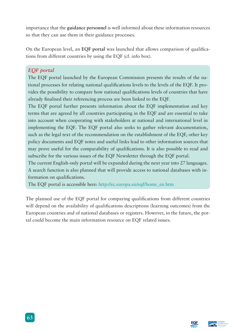importance that the **guidance personnel** is well informed about these information resources so that they can use them in their guidance processes.

On the European level, an EQF portal was launched that allows comparison of qualifications from different countries by using the EQF (cf. info box).

#### *EQF portal*

The EQF portal launched by the European Commission presents the results of the national processes for relating national qualifications levels to the levels of the EQF. It provides the possibility to compare how national qualifications levels of countries that have already finalised their referencing process are been linked to the EQF.

The EQF portal further presents information about the EQF implementation and key terms that are agreed by all countries participating in the EQF and are essential to take into account when cooperating with stakeholders at national and international level in implementing the EQF. The EQF portal also seeks to gather relevant documentation, such as the legal text of the recommendation on the establishment of the EQF, other key policy documents and EQF notes and useful links lead to other information sources that may prove useful for the comparability of qualifications. It is also possible to read and subscribe for the various issues of the EQF Newsletter through the EQF portal.

The current English-only portal will be expanded during the next year into 27 languages. A search function is also planned that will provide access to national databases with information on qualifications.

The EQF portal is accessible here: http://ec.europa.eu/eqf/home\_en.htm

The planned use of the EQF portal for comparing qualifications from different countries will depend on the availability of qualifications descriptions (learning outcomes) from the European countries and of national databases or registers. However, in the future, the portal could become the main information resource on EQF related issues.

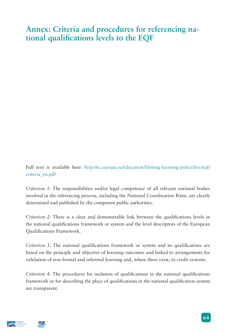### **Annex: Criteria and procedures for referencing na**tional qualifications levels to the EQF

Full text is available here: http://ec.europa.eu/education/lifelong-learning-policy/doc/eqf/ criteria\_en.pdf

*Criterion 1:* The responsibilities and/or legal competence of all relevant national bodies involved in the referencing process, including the National Coordination Point, are clearly determined and published by the competent public authorities.

*Criterion 2:* There is a clear and demonstrable link between the qualifications levels in the national qualifications framework or system and the level descriptors of the European Qualifications Framework.

*Criterion 3:* The national qualifications framework or system and its qualifications are based on the principle and objective of learning outcomes and linked to arrangements for validation of non-formal and informal learning and, where these exist, to credit systems.

*Criterion 4:* The procedures for inclusion of qualifications in the national qualifications framework or for describing the place of qualifications in the national qualification system are transparent.



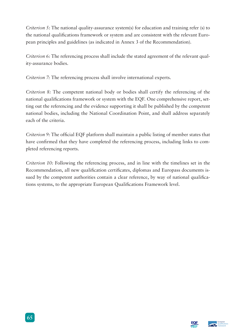*Criterion 5:* The national quality-assurance system(s) for education and training refer (s) to the national qualifications framework or system and are consistent with the relevant European principles and guidelines (as indicated in Annex 3 of the Recommendation).

*Criterion 6:* The referencing process shall include the stated agreement of the relevant quality-assurance bodies.

*Criterion 7:* The referencing process shall involve international experts.

*Criterion 8:* The competent national body or bodies shall certify the referencing of the national qualifications framework or system with the EQF. One comprehensive report, setting out the referencing and the evidence supporting it shall be published by the competent national bodies, including the National Coordination Point, and shall address separately each of the criteria.

*Criterion 9:* The official EQF platform shall maintain a public listing of member states that have confirmed that they have completed the referencing process, including links to completed referencing reports.

*Criterion 10:* Following the referencing process, and in line with the timelines set in the Recommendation, all new qualification certificates, diplomas and Europass documents issued by the competent authorities contain a clear reference, by way of national qualifications systems, to the appropriate European Qualifications Framework level.